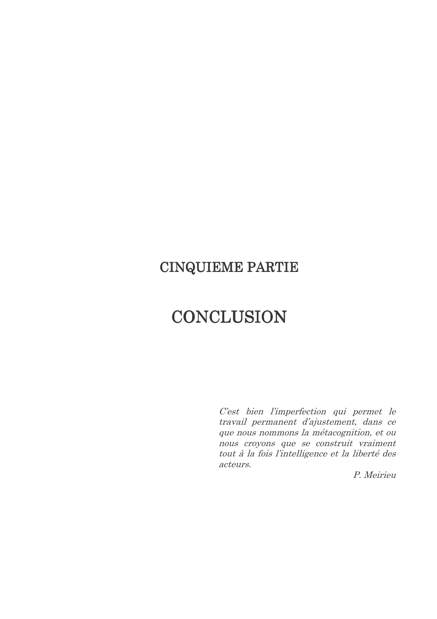## **CINQUIEME PARTIE**

# CONCLUSION

C'est bien l'imperfection qui permet le travail permanent d'ajustement, dans ce que nous nommons la métacognition, et ou nous croyons que se construit vraiment tout à la fois l'intelligence et la liberté des acteurs.

P. Meirieu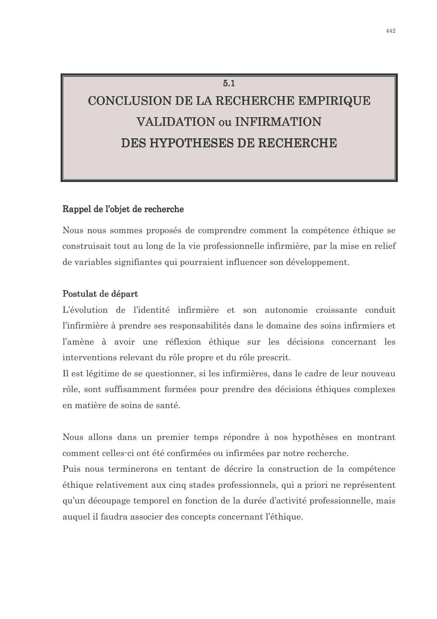# CONCLUSION DE LA RECHERCHE EMPIRIQUE **VALIDATION OU INFIRMATION DES HYPOTHESES DE RECHERCHE**

 $5.1$ 

#### Rappel de l'objet de recherche

Nous nous sommes proposés de comprendre comment la compétence éthique se construisait tout au long de la vie professionnelle infirmière, par la mise en relief de variables signifiantes qui pourraient influencer son développement.

#### Postulat de départ

L'évolution de l'identité infirmière et son autonomie croissante conduit l'infirmière à prendre ses responsabilités dans le domaine des soins infirmiers et l'amène à avoir une réflexion éthique sur les décisions concernant les interventions relevant du rôle propre et du rôle prescrit.

Il est légitime de se questionner, si les infirmières, dans le cadre de leur nouveau rôle, sont suffisamment formées pour prendre des décisions éthiques complexes en matière de soins de santé.

Nous allons dans un premier temps répondre à nos hypothèses en montrant comment celles-ci ont été confirmées ou infirmées par notre recherche.

Puis nous terminerons en tentant de décrire la construction de la compétence éthique relativement aux cinq stades professionnels, qui a priori ne représentent qu'un découpage temporel en fonction de la durée d'activité professionnelle, mais auquel il faudra associer des concepts concernant l'éthique.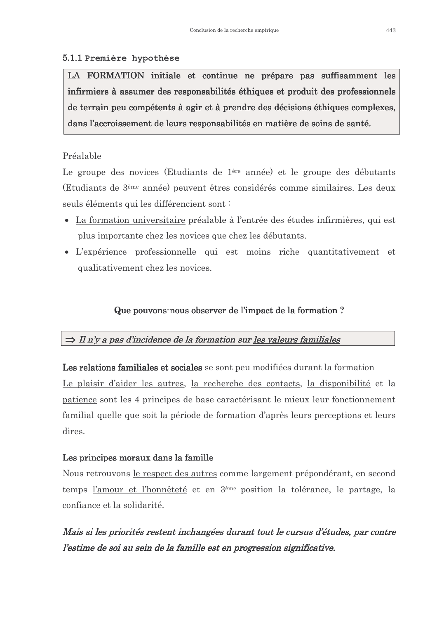#### 5.1.1 Première hypothèse

LA FORMATION initiale et continue ne prépare pas suffisamment les infirmiers à assumer des responsabilités éthiques et produit des professionnels de terrain peu compétents à agir et à prendre des décisions éthiques complexes, dans l'accroissement de leurs responsabilités en matière de soins de santé.

#### Préalable

Le groupe des novices (Etudiants de 1<sup>ère</sup> année) et le groupe des débutants (Etudiants de 3<sup>ème</sup> année) peuvent êtres considérés comme similaires. Les deux seuls éléments qui les différencient sont :

- La formation universitaire préalable à l'entrée des études infirmières, qui est plus importante chez les novices que chez les débutants.
- L'expérience professionnelle qui est moins riche quantitativement et qualitativement chez les novices.

#### Que pouvons-nous observer de l'impact de la formation?

#### $\Rightarrow$  Il n'y a pas d'incidence de la formation sur les valeurs familiales

Les relations familiales et sociales se sont peu modifiées durant la formation Le plaisir d'aider les autres, la recherche des contacts, la disponibilité et la patience sont les 4 principes de base caractérisant le mieux leur fonctionnement familial quelle que soit la période de formation d'après leurs perceptions et leurs dires.

#### Les principes moraux dans la famille

Nous retrouvons <u>le respect des autres</u> comme largement prépondérant, en second temps <u>l'amour et l'honnêteté</u> et en 3<sup>ème</sup> position la tolérance, le partage, la confiance et la solidarité.

Mais si les priorités restent inchangées durant tout le cursus d'études, par contre l'estime de soi au sein de la famille est en progression significative.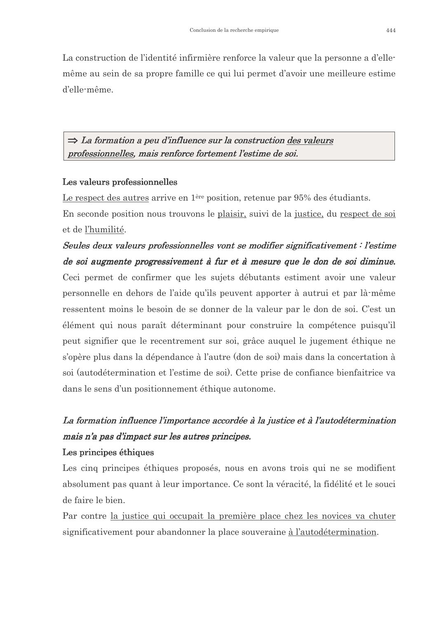La construction de l'identité infirmière renforce la valeur que la personne a d'ellemême au sein de sa propre famille ce qui lui permet d'avoir une meilleure estime d'elle-même.

### $\Rightarrow$  La formation a peu d'influence sur la construction des valeurs professionnelles, mais renforce fortement l'estime de soi.

#### Les valeurs professionnelles

Le respect des autres arrive en 1<sup>ère</sup> position, retenue par 95% des étudiants.

En seconde position nous trouvons le plaisir, suivi de la justice, du respect de soi et de l'humilité.

## Seules deux valeurs professionnelles vont se modifier significativement : l'estime de soi augmente progressivement à fur et à mesure que le don de soi diminue. Ceci permet de confirmer que les sujets débutants estiment avoir une valeur personnelle en dehors de l'aide qu'ils peuvent apporter à autrui et par là-même ressentent moins le besoin de se donner de la valeur par le don de soi. C'est un élément qui nous paraît déterminant pour construire la compétence puisqu'il peut signifier que le recentrement sur soi, grâce auquel le jugement éthique ne s'opère plus dans la dépendance à l'autre (don de soi) mais dans la concertation à soi (autodétermination et l'estime de soi). Cette prise de confiance bienfaitrice va dans le sens d'un positionnement éthique autonome.

## La formation influence l'importance accordée à la justice et à l'autodétermination mais n'a pas d'impact sur les autres principes.

#### Les principes éthiques

Les cinq principes éthiques proposés, nous en avons trois qui ne se modifient absolument pas quant à leur importance. Ce sont la véracité, la fidélité et le souci de faire le bien.

Par contre la justice qui occupait la première place chez les novices va chuter significativement pour abandonner la place souveraine à l'autodétermination.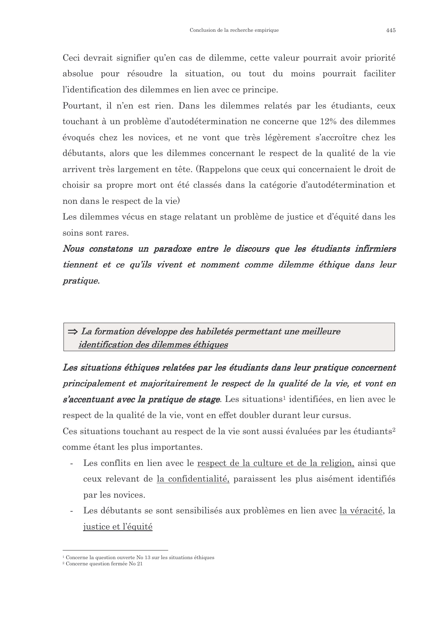Ceci devrait signifier qu'en cas de dilemme, cette valeur pourrait avoir priorité absolue pour résoudre la situation, ou tout du moins pourrait faciliter l'identification des dilemmes en lien avec ce principe.

Pourtant, il n'en est rien. Dans les dilemmes relatés par les étudiants, ceux touchant à un problème d'autodétermination ne concerne que 12% des dilemmes évoqués chez les novices, et ne vont que très légèrement s'accroître chez les débutants, alors que les dilemmes concernant le respect de la qualité de la vie arrivent très largement en tête. (Rappelons que ceux qui concernaient le droit de choisir sa propre mort ont été classés dans la catégorie d'autodétermination et non dans le respect de la vie)

Les dilemmes vécus en stage relatant un problème de justice et d'équité dans les soins sont rares.

Nous constatons un paradoxe entre le discours que les étudiants infirmiers tiennent et ce qu'ils vivent et nomment comme dilemme éthique dans leur *pratique.* 

## $\Rightarrow$  La formation développe des habiletés permettant une meilleure *identification des dilemmes éthiques*

Les situations éthiques relatées par les étudiants dans leur pratique concernent principalement et majoritairement le respect de la qualité de la vie, et vont en *s'accentuant avec la pratique de stage.* Les situations<sup>1</sup> identifiées, en lien avec le respect de la qualité de la vie, vont en effet doubler durant leur cursus.

Ces situations touchant au respect de la vie sont aussi évaluées par les étudiants<sup>2</sup> comme étant les plus importantes.

- Les conflits en lien avec le respect de la culture et de la religion, ainsi que ceux relevant de la confidentialité, paraissent les plus aisément identifiés par les novices.
- Les débutants se sont sensibilisés aux problèmes en lien avec la véracité, la justice et l'équité

<sup>&</sup>lt;sup>1</sup> Concerne la question ouverte No 13 sur les situations éthiques

<sup>&</sup>lt;sup>2</sup> Concerne question fermée No 21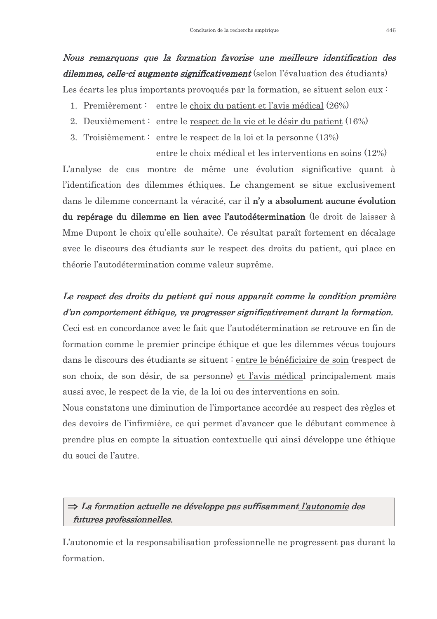## Nous remarquons que la formation favorise une meilleure identification des *dilemmes, celle-ci augmente significativement* (selon l'évaluation des étudiants) Les écarts les plus importants provoqués par la formation, se situent selon eux :

- 1. Premièrement: entre le choix du patient et l'avis médical (26%)
- 2. Deuxièmement : entre le respect de la vie et le désir du patient  $(16%)$
- 3. Troisièmement: entre le respect de la loi et la personne  $(13%)$

entre le choix médical et les interventions en soins (12%) L'analyse de cas montre de même une évolution significative quant à l'identification des dilemmes éthiques. Le changement se situe exclusivement dans le dilemme concernant la véracité, car il n'y a absolument aucune évolution du repérage du dilemme en lien avec l'autodétermination (le droit de laisser à Mme Dupont le choix qu'elle souhaite). Ce résultat paraît fortement en décalage avec le discours des étudiants sur le respect des droits du patient, qui place en théorie l'autodétermination comme valeur suprême.

## Le respect des droits du patient qui nous apparaît comme la condition première d'un comportement éthique, va progresser significativement durant la formation.

Ceci est en concordance avec le fait que l'autodétermination se retrouve en fin de formation comme le premier principe éthique et que les dilemmes vécus toujours dans le discours des étudiants se situent : entre le bénéficiaire de soin (respect de son choix, de son désir, de sa personne) et l'avis médical principalement mais aussi avec, le respect de la vie, de la loi ou des interventions en soin.

Nous constatons une diminution de l'importance accordée au respect des règles et des devoirs de l'infirmière, ce qui permet d'avancer que le débutant commence à prendre plus en compte la situation contextuelle qui ainsi développe une éthique du souci de l'autre.

## $\Rightarrow$  La formation actuelle ne développe pas suffisamment l'autonomie des futures professionnelles.

L'autonomie et la responsabilisation professionnelle ne progressent pas durant la formation.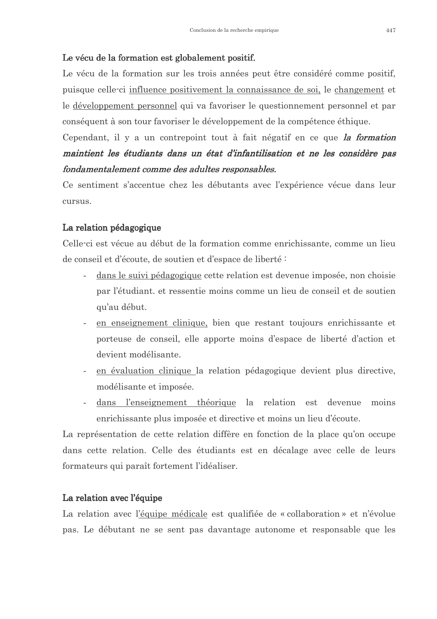#### Le vécu de la formation est globalement positif.

Le vécu de la formation sur les trois années peut être considéré comme positif, puisque celle-ci influence positivement la connaissance de soi, le changement et le développement personnel qui va favoriser le questionnement personnel et par conséquent à son tour favoriser le développement de la compétence éthique.

Cependant, il y a un contrepoint tout à fait négatif en ce que la formation maintient les étudiants dans un état d'infantilisation et ne les considère pas fondamentalement comme des adultes responsables.

Ce sentiment s'accentue chez les débutants avec l'expérience vécue dans leur cursus.

#### La relation pédagogique

Celle-ci est vécue au début de la formation comme enrichissante, comme un lieu de conseil et d'écoute, de soutien et d'espace de liberté :

- dans le suivi pédagogique cette relation est devenue imposée, non choisie par l'étudiant, et ressentie moins comme un lieu de conseil et de soutien qu'au début.
- en enseignement clinique, bien que restant toujours enrichissante et porteuse de conseil, elle apporte moins d'espace de liberté d'action et devient modélisante.
- en évaluation clinique la relation pédagogique devient plus directive, modélisante et imposée.
- dans l'enseignement théorique la relation est devenue moins enrichissante plus imposée et directive et moins un lieu d'écoute.

La représentation de cette relation diffère en fonction de la place qu'on occupe dans cette relation. Celle des étudiants est en décalage avec celle de leurs formateurs qui paraît fortement l'idéaliser.

#### La relation avec l'équipe

La relation avec l'équipe médicale est qualifiée de « collaboration » et n'évolue pas. Le débutant ne se sent pas davantage autonome et responsable que les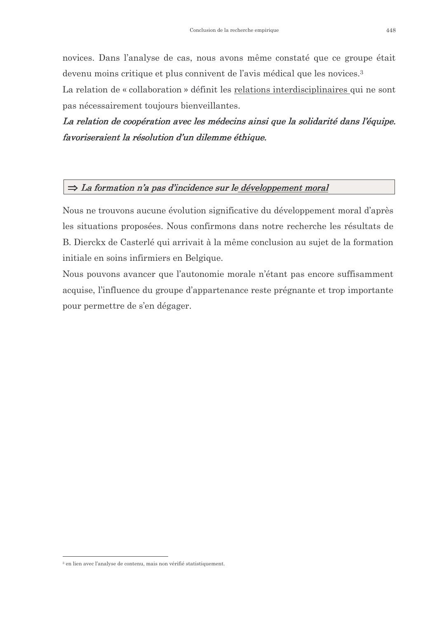novices. Dans l'analyse de cas, nous avons même constaté que ce groupe était devenu moins critique et plus connivent de l'avis médical que les novices.<sup>3</sup>

La relation de « collaboration » définit les relations interdisciplinaires qui ne sont pas nécessairement toujours bienveillantes.

La relation de coopération avec les médecins ainsi que la solidarité dans l'équipe. favoriseraient la résolution d'un dilemme éthique.

#### $\Rightarrow$  La formation n'a pas d'incidence sur le développement moral

Nous ne trouvons aucune évolution significative du développement moral d'après les situations proposées. Nous confirmons dans notre recherche les résultats de B. Dierckx de Casterlé qui arrivait à la même conclusion au sujet de la formation initiale en soins infirmiers en Belgique.

Nous pouvons avancer que l'autonomie morale n'étant pas encore suffisamment acquise, l'influence du groupe d'appartenance reste prégnante et trop importante pour permettre de s'en dégager.

<sup>&</sup>lt;sup>3</sup> en lien avec l'analyse de contenu mais non vérifié statistiquement.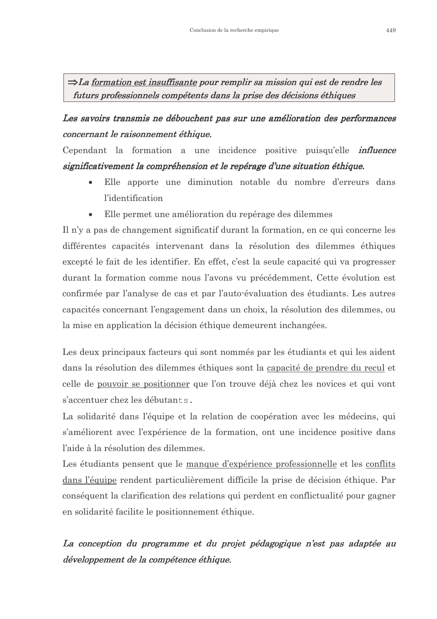$\Rightarrow$  La formation est insuffisante pour remplir sa mission qui est de rendre les futurs professionnels compétents dans la prise des décisions éthiques

Les savoirs transmis ne débouchent pas sur une amélioration des performances concernant le raisonnement éthique.

Cependant la formation a une incidence positive puisqu'elle *influence* significativement la compréhension et le repérage d'une situation éthique.

- $\bullet$ Elle apporte une diminution notable du nombre d'erreurs dans l'identification
- Elle permet une amélioration du repérage des dilemmes  $\bullet$

Il n'y a pas de changement significatif durant la formation, en ce qui concerne les différentes capacités intervenant dans la résolution des dilemmes éthiques excepté le fait de les identifier. En effet, c'est la seule capacité qui va progresser durant la formation comme nous l'avons vu précédemment. Cette évolution est confirmée par l'analyse de cas et par l'auto-évaluation des étudiants. Les autres capacités concernant l'engagement dans un choix, la résolution des dilemmes, ou la mise en application la décision éthique demeurent inchangées.

Les deux principaux facteurs qui sont nommés par les étudiants et qui les aident dans la résolution des dilemmes éthiques sont la capacité de prendre du recul et celle de pouvoir se positionner que l'on trouve déjà chez les novices et qui vont s'accentuer chez les débutants.

La solidarité dans l'équipe et la relation de coopération avec les médecins, qui s'améliorent avec l'expérience de la formation, ont une incidence positive dans l'aide à la résolution des dilemmes

Les étudiants pensent que le manque d'expérience professionnelle et les conflits dans l'équipe rendent particulièrement difficile la prise de décision éthique. Par conséquent la clarification des relations qui perdent en conflictualité pour gagner en solidarité facilite le positionnement éthique.

## La conception du programme et du projet pédagogique n'est pas adaptée au développement de la compétence éthique.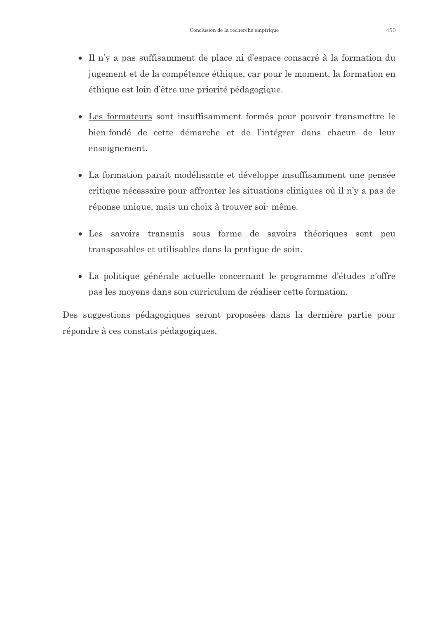- Il n'y a pas suffisamment de place ni d'espace consacré à la formation du jugement et de la compétence éthique, car pour le moment, la formation en éthique est loin d'être une priorité pédagogique.
- Les formateurs sont insuffisamment formés pour pouvoir transmettre le bien-fondé de cette démarche et de l'intégrer dans chacun de leur enseignement.
- La formation paraît modélisante et développe insuffisamment une pensée critique nécessaire pour affronter les situations cliniques où il n'y a pas de réponse unique, mais un choix à trouver soi même.
- · Les savoirs transmis sous forme de savoirs théoriques sont peu transposables et utilisables dans la pratique de soin.
- La politique générale actuelle concernant le programme d'études n'offre pas les moyens dans son curriculum de réaliser cette formation.

Des suggestions pédagogiques seront proposées dans la dernière partie pour répondre à ces constats pédagogiques.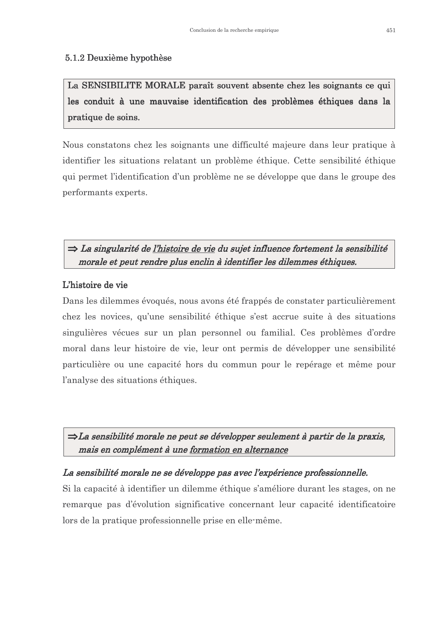#### 5.1.2 Deuxième hypothèse

La SENSIBILITE MORALE paraît souvent absente chez les soignants ce qui les conduit à une mauvaise identification des problèmes éthiques dans la pratique de soins.

Nous constatons chez les soignants une difficulté majeure dans leur pratique à identifier les situations relatant un problème éthique. Cette sensibilité éthique qui permet l'identification d'un problème ne se développe que dans le groupe des performants experts.

### $\Rightarrow$  La singularité de l'histoire de vie du sujet influence fortement la sensibilité morale et peut rendre plus enclin à identifier les dilemmes éthiques.

#### L'histoire de vie

Dans les dilemmes évoqués, nous avons été frappés de constater particulièrement chez les novices, qu'une sensibilité éthique s'est accrue suite à des situations singulières vécues sur un plan personnel ou familial. Ces problèmes d'ordre moral dans leur histoire de vie, leur ont permis de développer une sensibilité particulière ou une capacité hors du commun pour le repérage et même pour l'analyse des situations éthiques.

 $\Rightarrow$ La sensibilité morale ne peut se développer seulement à partir de la praxis, mais en complément à une formation en alternance

#### La sensibilité morale ne se développe pas avec l'expérience professionnelle.

Si la capacité à identifier un dilemme éthique s'améliore durant les stages, on ne remarque pas d'évolution significative concernant leur capacité identificatoire lors de la pratique professionnelle prise en elle-même.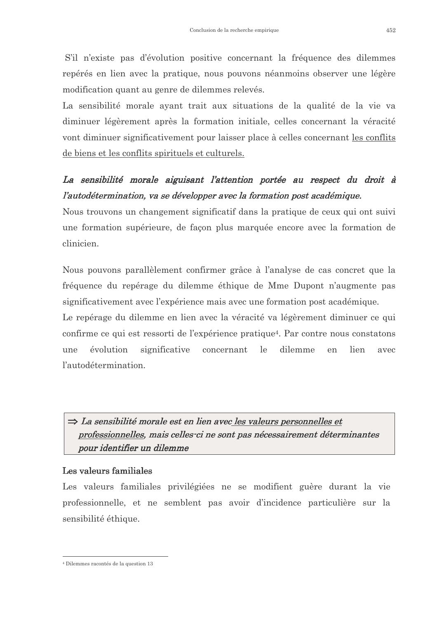S'il n'existe pas d'évolution positive concernant la fréquence des dilemmes repérés en lien avec la pratique, nous pouvons néanmoins observer une légère modification quant au genre de dilemmes relevés.

La sensibilité morale ayant trait aux situations de la qualité de la vie va diminuer légèrement après la formation initiale, celles concernant la véracité vont diminuer significativement pour laisser place à celles concernant les conflits de biens et les conflits spirituels et culturels.

## La sensibilité morale aiguisant l'attention portée au respect du droit à l'autodétermination, va se développer avec la formation post académique.

Nous trouvons un changement significatif dans la pratique de ceux qui ont suivi une formation supérieure, de façon plus marquée encore avec la formation de clinicien.

Nous pouvons parallèlement confirmer grâce à l'analyse de cas concret que la fréquence du repérage du dilemme éthique de Mme Dupont n'augmente pas significativement avec l'expérience mais avec une formation post académique.

Le repérage du dilemme en lien avec la véracité va légèrement diminuer ce qui confirme ce qui est ressorti de l'expérience pratique<sup>4</sup>. Par contre nous constatons évolution significative concernant  $1e$ dilemme lien une en avec l'autodétermination.

 $\Rightarrow$  La sensibilité morale est en lien avec les valeurs personnelles et professionnelles, mais celles ci ne sont pas nécessairement déterminantes pour identifier un dilemme

#### Les valeurs familiales

Les valeurs familiales privilégiées ne se modifient guère durant la vie professionnelle, et ne semblent pas avoir d'incidence particulière sur la sensibilité éthique.

<sup>&</sup>lt;sup>4</sup> Dilemmes racontés de la question 13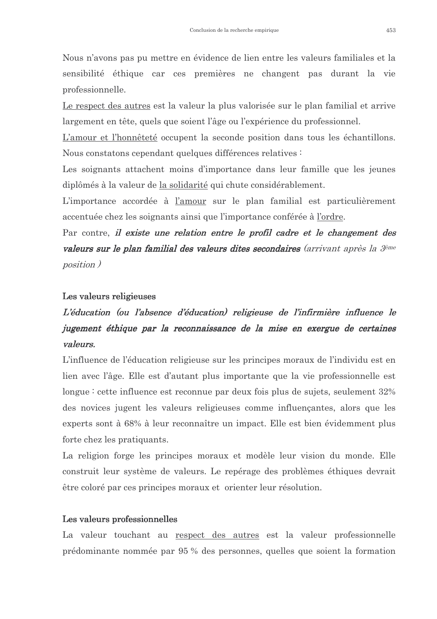Nous n'avons pas pu mettre en évidence de lien entre les valeurs familiales et la sensibilité éthique car ces premières ne changent pas durant la vie professionnelle.

Le respect des autres est la valeur la plus valorisée sur le plan familial et arrive largement en tête, quels que soient l'âge ou l'expérience du professionnel.

L'amour et l'honnêteté occupent la seconde position dans tous les échantillons. Nous constatons cependant quelques différences relatives :

Les soignants attachent moins d'importance dans leur famille que les jeunes diplômés à la valeur de la solidarité qui chute considérablement.

L'importance accordée à l'amour sur le plan familial est particulièrement accentuée chez les soignants ainsi que l'importance conférée à l'ordre.

Par contre, il existe une relation entre le profil cadre et le changement des **valeurs sur le plan familial des valeurs dites secondaires** (arrivant après la <sup>3ème</sup> *position*)

#### Les valeurs religieuses

## L'éducation (ou l'absence d'éducation) religieuse de l'infirmière influence le jugement éthique par la reconnaissance de la mise en exergue de certaines valeurs.

L'influence de l'éducation religieuse sur les principes moraux de l'individu est en lien avec l'âge. Elle est d'autant plus importante que la vie professionnelle est longue : cette influence est reconnue par deux fois plus de sujets, seulement  $32\%$ des novices jugent les valeurs religieuses comme influençantes, alors que les experts sont à 68% à leur reconnaître un impact. Elle est bien évidemment plus forte chez les pratiquants.

La religion forge les principes moraux et modèle leur vision du monde. Elle construit leur système de valeurs. Le repérage des problèmes éthiques devrait être coloré par ces principes moraux et orienter leur résolution.

#### Les valeurs professionnelles

La valeur touchant au respect des autres est la valeur professionnelle prédominante nommée par 95 % des personnes, quelles que soient la formation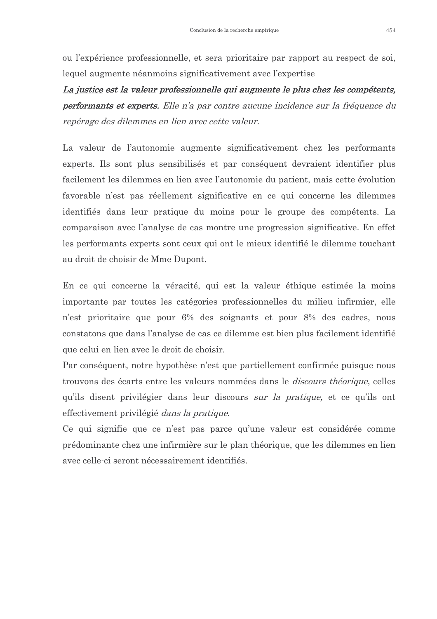ou l'expérience professionnelle, et sera prioritaire par rapport au respect de soi, lequel augmente néanmoins significativement avec l'expertise

La justice est la valeur professionnelle qui augmente le plus chez les compétents, performants et experts. Elle n'a par contre aucune incidence sur la fréquence du repérage des dilemmes en lien avec cette valeur.

La valeur de l'autonomie augmente significativement chez les performants experts. Ils sont plus sensibilisés et par conséquent devraient identifier plus facilement les dilemmes en lien avec l'autonomie du patient, mais cette évolution favorable n'est pas réellement significative en ce qui concerne les dilemmes identifiés dans leur pratique du moins pour le groupe des compétents. La comparaison avec l'analyse de cas montre une progression significative. En effet les performants experts sont ceux qui ont le mieux identifié le dilemme touchant au droit de choisir de Mme Dupont.

En ce qui concerne la véracité, qui est la valeur éthique estimée la moins importante par toutes les catégories professionnelles du milieu infirmier, elle n'est prioritaire que pour 6% des soignants et pour 8% des cadres, nous constatons que dans l'analyse de cas ce dilemme est bien plus facilement identifié que celui en lien avec le droit de choisir.

Par conséquent, notre hypothèse n'est que partiellement confirmée puisque nous trouvons des écarts entre les valeurs nommées dans le *discours théorique*, celles qu'ils disent privilégier dans leur discours sur la pratique, et ce qu'ils ont effectivement privilégié dans la pratique.

Ce qui signifie que ce n'est pas parce qu'une valeur est considérée comme prédominante chez une infirmière sur le plan théorique, que les dilemmes en lien avec celle-ci seront nécessairement identifiés.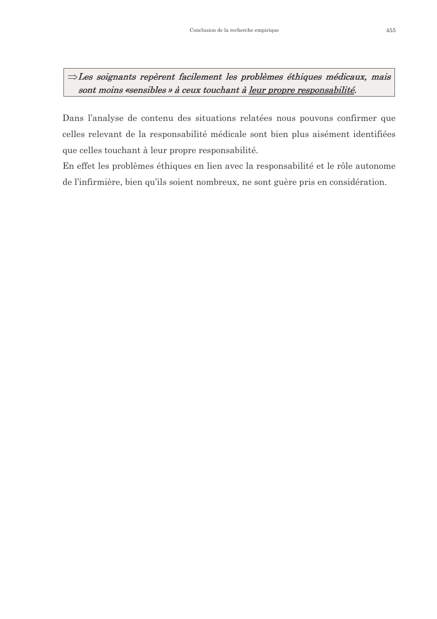$\Rightarrow$ Les soignants repèrent facilement les problèmes éthiques médicaux, mais sont moins «sensibles » à ceux touchant à leur propre responsabilité.

Dans l'analyse de contenu des situations relatées nous pouvons confirmer que celles relevant de la responsabilité médicale sont bien plus aisément identifiées que celles touchant à leur propre responsabilité.

En effet les problèmes éthiques en lien avec la responsabilité et le rôle autonome de l'infirmière, bien qu'ils soient nombreux, ne sont guère pris en considération.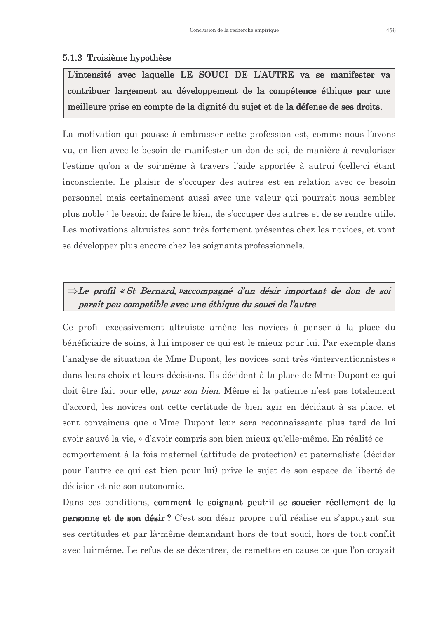#### 5.1.3 Troisième hypothèse

L'intensité avec laquelle LE SOUCI DE L'AUTRE va se manifester va contribuer largement au développement de la compétence éthique par une meilleure prise en compte de la dignité du sujet et de la défense de ses droits.

La motivation qui pousse à embrasser cette profession est, comme nous l'avons yu, en lien avec le besoin de manifester un don de soi, de manière à revaloriser l'estime qu'on a de soi-même à travers l'aide apportée à autrui (celle-ci étant inconsciente. Le plaisir de s'occuper des autres est en relation avec ce besoin personnel mais certainement aussi avec une valeur qui pourrait nous sembler plus noble : le besoin de faire le bien, de s'occuper des autres et de se rendre utile. Les motivations altruistes sont très fortement présentes chez les novices, et vont se développer plus encore chez les soignants professionnels.

### $\Rightarrow$ Le profil « St Bernard, »accompagné d'un désir important de don de soi paraît peu compatible avec une éthique du souci de l'autre

Ce profil excessivement altruiste amène les novices à penser à la place du bénéficiaire de soins, à lui imposer ce qui est le mieux pour lui. Par exemple dans l'analyse de situation de Mme Dupont, les novices sont très «interventionnistes» dans leurs choix et leurs décisions. Ils décident à la place de Mme Dupont ce qui doit être fait pour elle, *pour son bien*. Même si la patiente n'est pas totalement d'accord, les novices ont cette certitude de bien agir en décidant à sa place, et sont convaincus que « Mme Dupont leur sera reconnaissante plus tard de lui avoir sauvé la vie, » d'avoir compris son bien mieux qu'elle-même. En réalité ce comportement à la fois maternel (attitude de protection) et paternaliste (décider pour l'autre ce qui est bien pour lui) prive le sujet de son espace de liberté de décision et nie son autonomie.

Dans ces conditions, comment le soignant peut-il se soucier réellement de la personne et de son désir? C'est son désir propre qu'il réalise en s'appuyant sur ses certitudes et par là-même demandant hors de tout souci, hors de tout conflit avec lui-même. Le refus de se décentrer, de remettre en cause ce que l'on croyait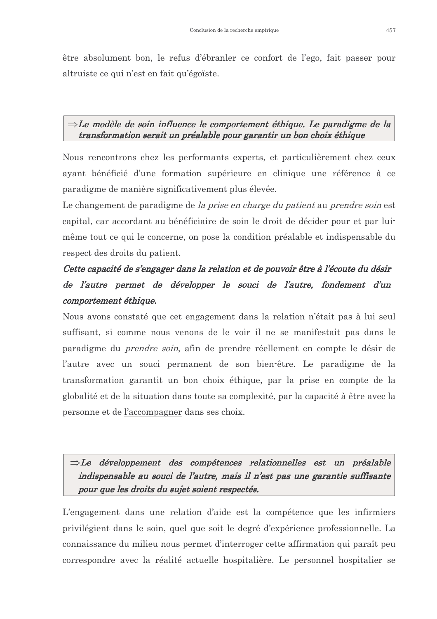être absolument bon, le refus d'ébranler ce confort de l'ego, fait passer pour altruiste ce qui n'est en fait qu'égoïste.

#### $\Rightarrow$ Le modèle de soin influence le comportement éthique. Le paradigme de la transformation serait un préalable pour garantir un bon choix éthique

Nous rencontrons chez les performants experts, et particulièrement chez ceux avant bénéficié d'une formation supérieure en clinique une référence à ce paradigme de manière significativement plus élevée.

Le changement de paradigme de *la prise en charge du patient* au *prendre soin* est capital, car accordant au bénéficiaire de soin le droit de décider pour et par luimême tout ce qui le concerne, on pose la condition préalable et indispensable du respect des droits du patient.

## Cette capacité de s'engager dans la relation et de pouvoir être à l'écoute du désir de l'autre permet de développer le souci de l'autre, fondement d'un comportement éthique.

Nous avons constaté que cet engagement dans la relation n'était pas à lui seul suffisant, si comme nous venons de le voir il ne se manifestait pas dans le paradigme du *prendre soin*, afin de prendre réellement en compte le désir de l'autre avec un souci permanent de son bien-être. Le paradigme de la transformation garantit un bon choix éthique, par la prise en compte de la globalité et de la situation dans toute sa complexité, par la capacité à être avec la personne et de l'accompagner dans ses choix.

 $\Rightarrow$ Le développement des compétences relationnelles est un préalable indispensable au souci de l'autre, mais il n'est pas une garantie suffisante pour que les droits du sujet soient respectés.

L'engagement dans une relation d'aide est la compétence que les infirmiers privilégient dans le soin, quel que soit le degré d'expérience professionnelle. La connaissance du milieu nous permet d'interroger cette affirmation qui paraît peu correspondre avec la réalité actuelle hospitalière. Le personnel hospitalier se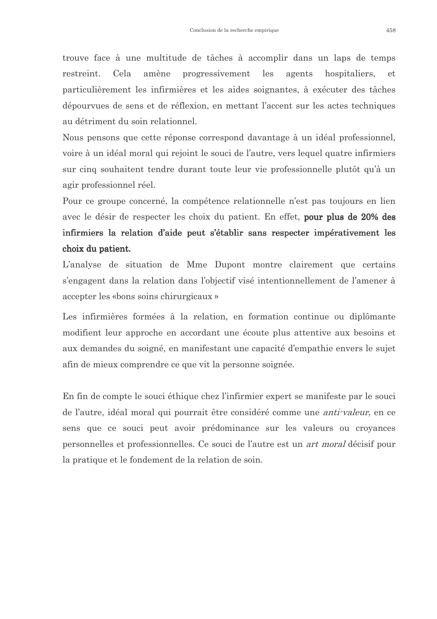trouve face à une multitude de tâches à accomplir dans un laps de temps restreint. Cela amène progressivement les agents hospitaliers. et particulièrement les infirmières et les aides soignantes, à exécuter des tâches dépourvues de sens et de réflexion, en mettant l'accent sur les actes techniques au détriment du soin relationnel.

Nous pensons que cette réponse correspond davantage à un idéal professionnel, voire à un idéal moral qui rejoint le souci de l'autre, vers lequel quatre infirmiers sur cinq souhaitent tendre durant toute leur vie professionnelle plutôt qu'à un agir professionnel réel.

Pour ce groupe concerné, la compétence relationnelle n'est pas toujours en lien avec le désir de respecter les choix du patient. En effet, pour plus de 20% des infirmiers la relation d'aide peut s'établir sans respecter impérativement les choix du patient.

L'analyse de situation de Mme Dupont montre clairement que certains s'engagent dans la relation dans l'objectif visé intentionnellement de l'amener à accepter les «bons soins chirurgicaux »

Les infirmières formées à la relation, en formation continue ou diplômante modifient leur approche en accordant une écoute plus attentive aux besoins et aux demandes du soigné, en manifestant une capacité d'empathie envers le sujet afin de mieux comprendre ce que vit la personne soignée.

En fin de compte le souci éthique chez l'infirmier expert se manifeste par le souci de l'autre, idéal moral qui pourrait être considéré comme une *anti-valeur*, en ce sens que ce souci peut avoir prédominance sur les valeurs ou croyances personnelles et professionnelles. Ce souci de l'autre est un *art moral* décisif pour la pratique et le fondement de la relation de soin.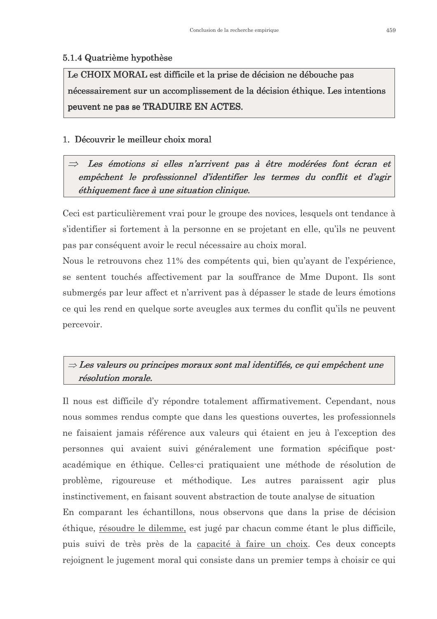#### 5.1.4 Quatrième hypothèse

Le CHOIX MORAL est difficile et la prise de décision ne débouche pas nécessairement sur un accomplissement de la décision éthique. Les intentions peuvent ne pas se TRADUIRE EN ACTES.

#### 1. Découvrir le meilleur choix moral

Les émotions si elles n'arrivent pas à être modérées font écran et empêchent le professionnel d'identifier les termes du conflit et d'agir éthiquement face à une situation clinique.

Ceci est particulièrement vrai pour le groupe des novices, lesquels ont tendance à s'identifier si fortement à la personne en se projetant en elle, qu'ils ne peuvent pas par conséquent avoir le recul nécessaire au choix moral.

Nous le retrouvons chez 11% des compétents qui, bien qu'ayant de l'expérience, se sentent touchés affectivement par la souffrance de Mme Dupont. Ils sont submergés par leur affect et n'arrivent pas à dépasser le stade de leurs émotions ce qui les rend en quelque sorte aveugles aux termes du conflit qu'ils ne peuvent percevoir.

## $\Rightarrow$  Les valeurs ou principes moraux sont mal identifiés, ce qui empêchent une résolution morale.

Il nous est difficile d'y répondre totalement affirmativement. Cependant, nous nous sommes rendus compte que dans les questions ouvertes, les professionnels ne faisaient jamais référence aux valeurs qui étaient en jeu à l'exception des personnes qui avaient suivi généralement une formation spécifique postacadémique en éthique. Celles-ci pratiquaient une méthode de résolution de problème, rigoureuse et méthodique. Les autres paraissent agir plus instinctivement, en faisant souvent abstraction de toute analyse de situation En comparant les échantillons, nous observons que dans la prise de décision

éthique, résoudre le dilemme, est jugé par chacun comme étant le plus difficile, puis suivi de très près de la capacité à faire un choix. Ces deux concepts rejoignent le jugement moral qui consiste dans un premier temps à choisir ce qui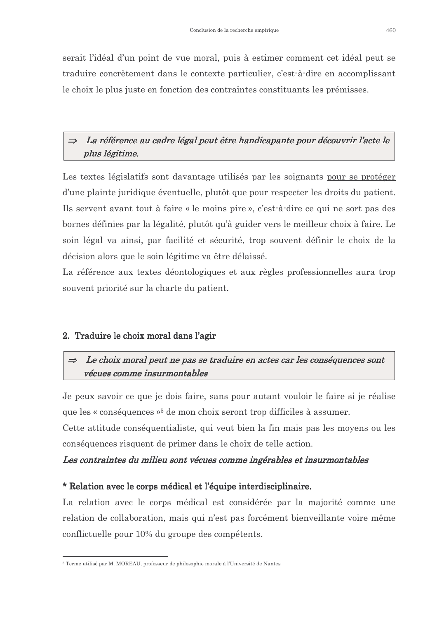serait l'idéal d'un point de vue moral, puis à estimer comment cet idéal peut se traduire concrètement dans le contexte particulier, c'est-à-dire en accomplissant le choix le plus juste en fonction des contraintes constituants les prémisses.

#### La référence au cadre légal peut être handicapante pour découvrir l'acte le  $\Rightarrow$ plus légitime.

Les textes législatifs sont davantage utilisés par les soignants pour se protéger d'une plainte juridique éventuelle, plutôt que pour respecter les droits du patient. Ils servent avant tout à faire « le moins pire », c'est-à-dire ce qui ne sort pas des bornes définies par la légalité, plutôt qu'à guider vers le meilleur choix à faire. Le soin légal va ainsi, par facilité et sécurité, trop souvent définir le choix de la décision alors que le soin légitime va être délaissé.

La référence aux textes déontologiques et aux règles professionnelles aura trop souvent priorité sur la charte du patient.

#### 2. Traduire le choix moral dans l'agir

#### Le choix moral peut ne pas se traduire en actes car les conséquences sont  $\Rightarrow$ vécues comme insurmontables

Je peux savoir ce que je dois faire, sans pour autant vouloir le faire si je réalise que les « conséquences »<sup>5</sup> de mon choix seront trop difficiles à assumer.

Cette attitude conséquentialiste, qui veut bien la fin mais pas les moyens ou les conséquences risquent de primer dans le choix de telle action.

#### Les contraintes du milieu sont vécues comme ingérables et insurmontables

#### \* Relation avec le corps médical et l'équipe interdisciplinaire.

La relation avec le corps médical est considérée par la majorité comme une relation de collaboration, mais qui n'est pas forcément bienveillante voire même conflictuelle pour 10% du groupe des compétents.

<sup>&</sup>lt;sup>5</sup> Terme utilisé par M. MOREAU, professeur de philosophie morale à l'Université de Nantes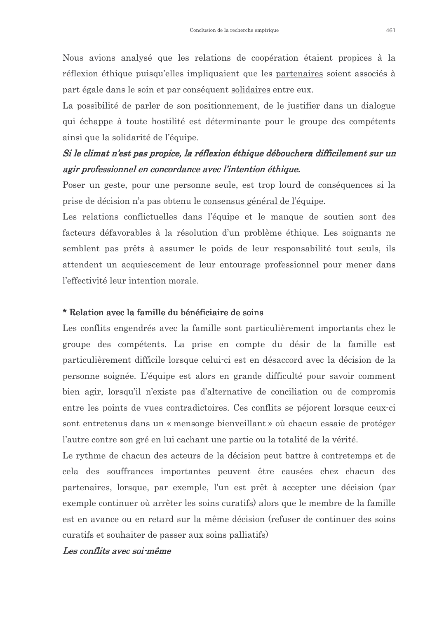Nous avions analysé que les relations de coopération étaient propices à la réflexion éthique puisqu'elles impliquaient que les partenaires soient associés à part égale dans le soin et par conséquent solidaires entre eux.

La possibilité de parler de son positionnement, de le justifier dans un dialogue qui échappe à toute hostilité est déterminante pour le groupe des compétents ainsi que la solidarité de l'équipe.

## Si le climat n'est pas propice, la réflexion éthique débouchera difficilement sur un agir professionnel en concordance avec l'intention éthique.

Poser un geste, pour une personne seule, est trop lourd de conséquences si la prise de décision n'a pas obtenu le consensus général de l'équipe.

Les relations conflictuelles dans l'équipe et le manque de soutien sont des facteurs défavorables à la résolution d'un problème éthique. Les soignants ne semblent pas prêts à assumer le poids de leur responsabilité tout seuls, ils attendent un acquiescement de leur entourage professionnel pour mener dans l'effectivité leur intention morale.

#### \* Relation avec la famille du bénéficiaire de soins

Les conflits engendrés avec la famille sont particulièrement importants chez le groupe des compétents. La prise en compte du désir de la famille est particulièrement difficile lorsque celui-ci est en désaccord avec la décision de la personne soignée. L'équipe est alors en grande difficulté pour savoir comment bien agir, lorsqu'il n'existe pas d'alternative de conciliation ou de compromis entre les points de vues contradictoires. Ces conflits se péjorent lorsque ceux-ci sont entretenus dans un « mensonge bienveillant » où chacun essaie de protéger l'autre contre son gré en lui cachant une partie ou la totalité de la vérité.

Le rythme de chacun des acteurs de la décision peut battre à contretemps et de cela des souffrances importantes peuvent être causées chez chacun des partenaires, lorsque, par exemple, l'un est prêt à accepter une décision (par exemple continuer où arrêter les soins curatifs) alors que le membre de la famille est en avance ou en retard sur la même décision (refuser de continuer des soins curatifs et souhaiter de passer aux soins palliatifs)

#### Les conflits avec soi-même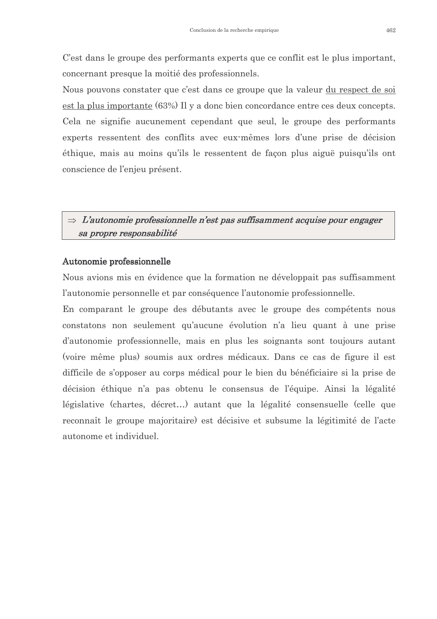C'est dans le groupe des performants experts que ce conflit est le plus important, concernant presque la moitié des professionnels.

Nous pouvons constater que c'est dans ce groupe que la valeur du respect de soi est la plus importante (63%) Il y a donc bien concordance entre ces deux concepts. Cela ne signifie aucunement cependant que seul, le groupe des performants experts ressentent des conflits avec eux-mêmes lors d'une prise de décision éthique, mais au moins qu'ils le ressentent de façon plus aiguë puisqu'ils ont conscience de l'enjeu présent.

### $\Rightarrow$  L'autonomie professionnelle n'est pas suffisamment acquise pour engager sa propre responsabilité

#### Autonomie professionnelle

Nous avions mis en évidence que la formation ne développait pas suffisamment l'autonomie personnelle et par conséquence l'autonomie professionnelle.

En comparant le groupe des débutants avec le groupe des compétents nous constatons non seulement qu'aucune évolution n'a lieu quant à une prise d'autonomie professionnelle, mais en plus les soignants sont toujours autant (voire même plus) soumis aux ordres médicaux. Dans ce cas de figure il est difficile de s'opposer au corps médical pour le bien du bénéficiaire si la prise de décision éthique n'a pas obtenu le consensus de l'équipe. Ainsi la légalité législative (chartes, décret...) autant que la légalité consensuelle (celle que reconnaît le groupe majoritaire) est décisive et subsume la légitimité de l'acte autonome et individuel.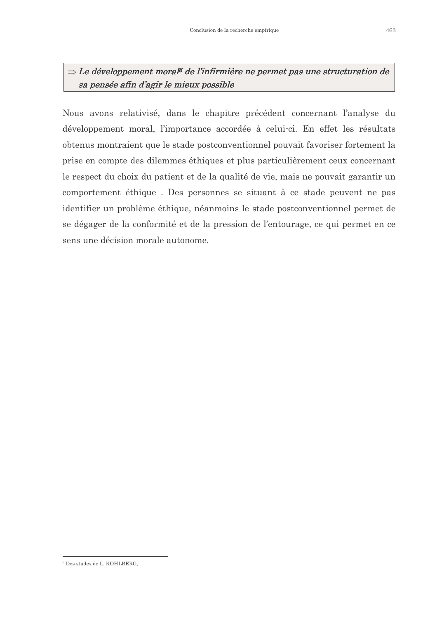### $\Rightarrow$  Le développement moral<sup>6</sup> de l'infirmière ne permet pas une structuration de sa pensée afin d'agir le mieux possible

Nous avons relativisé, dans le chapitre précédent concernant l'analyse du développement moral, l'importance accordée à celui-ci. En effet les résultats obtenus montraient que le stade postconventionnel pouvait favoriser fortement la prise en compte des dilemmes éthiques et plus particulièrement ceux concernant le respect du choix du patient et de la qualité de vie, mais ne pouvait garantir un comportement éthique. Des personnes se situant à ce stade peuvent ne pas identifier un problème éthique, néanmoins le stade postconventionnel permet de se dégager de la conformité et de la pression de l'entourage, ce qui permet en ce sens une décision morale autonome.

<sup>&</sup>lt;sup>6</sup> Des stades de L. KOHLBERG,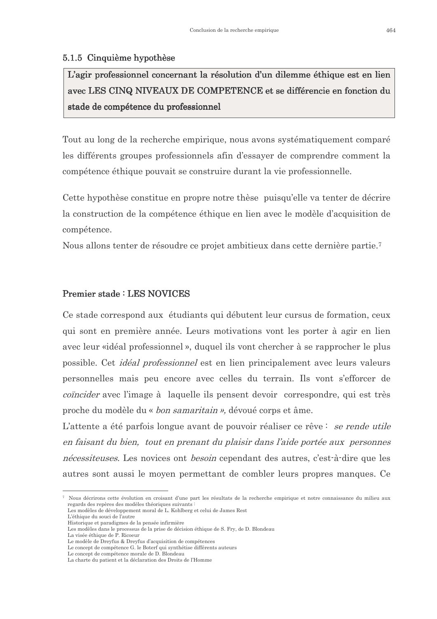#### 5.1.5 Cinquième hypothèse

L'agir professionnel concernant la résolution d'un dilemme éthique est en lien avec LES CINQ NIVEAUX DE COMPETENCE et se différencie en fonction du stade de compétence du professionnel

Tout au long de la recherche empirique, nous avons systématiquement comparé les différents groupes professionnels afin d'essayer de comprendre comment la compétence éthique pouvait se construire durant la vie professionnelle.

Cette hypothèse constitue en propre notre thèse puisqu'elle va tenter de décrire la construction de la compétence éthique en lien avec le modèle d'acquisition de compétence.

Nous allons tenter de résoudre ce projet ambitieux dans cette dernière partie.<sup>7</sup>

#### **Premier stade: LES NOVICES**

Ce stade correspond aux étudiants qui débutent leur cursus de formation, ceux qui sont en première année. Leurs motivations vont les porter à agir en lien avec leur «idéal professionnel», duquel ils vont chercher à se rapprocher le plus possible. Cet *idéal professionnel* est en lien principalement avec leurs valeurs personnelles mais peu encore avec celles du terrain. Ils vont s'efforcer de *coincider* avec l'image à laquelle ils pensent devoir correspondre, qui est très proche du modèle du « bon samaritain », dévoué corps et âme.

L'attente a été parfois longue avant de pouvoir réaliser ce rêve : se rende utile en faisant du bien, tout en prenant du plaisir dans l'aide portée aux personnes *nécessiteuses*. Les novices ont *besoin* cependant des autres, c'est-à-dire que les autres sont aussi le moyen permettant de combler leurs propres manques. Ce

<sup>7</sup> Nous décrirons cette évolution en croisant d'une part les résultats de la recherche empirique et notre connaissance du milieu aux regards des repères des modèles théoriques suivants

Les modèles de développement moral de L. Kohlberg et celui de James Rest L'éthique du souci de l'autre

Historique et paradigmes de la pensée infirmière

Les modèles dans le processus de la prise de décision éthique de S. Fry, de D. Blondeau<br>La visée éthique de P. Ricoeur

Le modèle de Dreyfus & Dreyfus d'acquisition de compétences

Le concept de compétence G. le Boterf qui synthétise différents auteurs

Le concept de compétence morale de D. Blondeau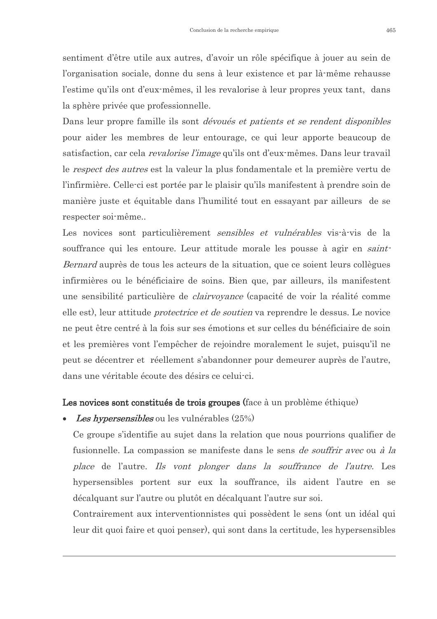sentiment d'être utile aux autres, d'avoir un rôle spécifique à jouer au sein de l'organisation sociale, donne du sens à leur existence et par là-même rehausse l'estime qu'ils ont d'eux-mêmes, il les revalorise à leur propres yeux tant, dans la sphère privée que professionnelle.

Dans leur propre famille ils sont dévoués et patients et se rendent disponibles pour aider les membres de leur entourage, ce qui leur apporte beaucoup de satisfaction, car cela *revalorise l'image* qu'ils ont d'eux-mêmes. Dans leur travail le *respect des autres* est la valeur la plus fondamentale et la première vertu de l'infirmière. Celle-ci est portée par le plaisir qu'ils manifestent à prendre soin de manière juste et équitable dans l'humilité tout en essayant par ailleurs de se respecter soi-même..

Les novices sont particulièrement *sensibles et vulnérables* vis-à-vis de la souffrance qui les entoure. Leur attitude morale les pousse à agir en saint-Bernard auprès de tous les acteurs de la situation, que ce soient leurs collègues infirmières ou le bénéficiaire de soins. Bien que, par ailleurs, ils manifestent une sensibilité particulière de *clairvoyance* (capacité de voir la réalité comme elle est), leur attitude *protectrice et de soutien* va reprendre le dessus. Le novice ne peut être centré à la fois sur ses émotions et sur celles du bénéficiaire de soin et les premières vont l'empêcher de rejoindre moralement le sujet, puisqu'il ne peut se décentrer et réellement s'abandonner pour demeurer auprès de l'autre, dans une véritable écoute des désirs ce celui-ci.

#### Les novices sont constitués de trois groupes (face à un problème éthique)

Les hypersensibles ou les vulnérables (25%)

Ce groupe s'identifie au sujet dans la relation que nous pourrions qualifier de fusionnelle. La compassion se manifeste dans le sens *de souffrir avec* ou *à la* place de l'autre. Ils vont plonger dans la souffrance de l'autre. Les hypersensibles portent sur eux la souffrance, ils aident l'autre en se décalquant sur l'autre ou plutôt en décalquant l'autre sur soi.

Contrairement aux interventionnistes qui possèdent le sens (ont un idéal qui leur dit quoi faire et quoi penser), qui sont dans la certitude, les hypersensibles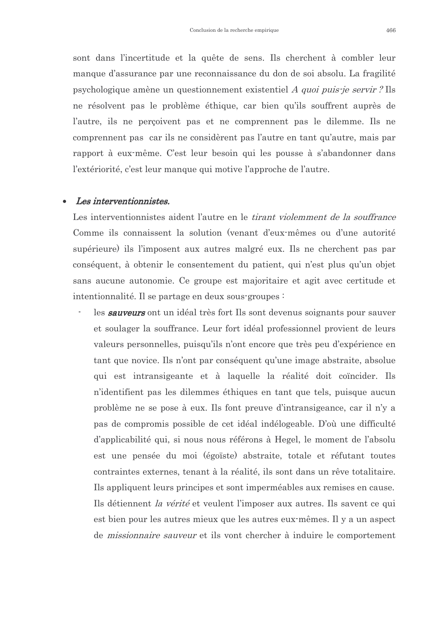sont dans l'incertitude et la quête de sens. Ils cherchent à combler leur manque d'assurance par une reconnaissance du don de soi absolu. La fragilité psychologique amène un questionnement existentiel *A quoi puis-je servir* ? Ils ne résolvent pas le problème éthique, car bien qu'ils souffrent auprès de l'autre, ils ne perçoivent pas et ne comprennent pas le dilemme. Ils ne comprennent pas car ils ne considèrent pas l'autre en tant qu'autre, mais par rapport à eux-même. C'est leur besoin qui les pousse à s'abandonner dans l'extériorité, c'est leur manque qui motive l'approche de l'autre.

#### Les interventionnistes.  $\bullet$

Les interventionnistes aident l'autre en le *tirant violemment de la souffrance* Comme ils connaissent la solution (venant d'eux-mêmes ou d'une autorité supérieure) ils l'imposent aux autres malgré eux. Ils ne cherchent pas par conséquent, à obtenir le consentement du patient, qui n'est plus qu'un objet sans aucune autonomie. Ce groupe est majoritaire et agit avec certitude et intentionnalité. Il se partage en deux sous-groupes :

les sauveurs ont un idéal très fort Ils sont devenus soignants pour sauver et soulager la souffrance. Leur fort idéal professionnel provient de leurs valeurs personnelles, puisqu'ils n'ont encore que très peu d'expérience en tant que novice. Ils n'ont par conséquent qu'une image abstraite, absolue qui est intransigeante et à laquelle la réalité doit coincider. Ils n'identifient pas les dilemmes éthiques en tant que tels, puisque aucun problème ne se pose à eux. Ils font preuve d'intransigeance, car il n'y a pas de compromis possible de cet idéal indélogeable. D'où une difficulté d'applicabilité qui, si nous nous référons à Hegel, le moment de l'absolu est une pensée du moi (égoïste) abstraite, totale et réfutant toutes contraintes externes, tenant à la réalité, ils sont dans un rêve totalitaire. Ils appliquent leurs principes et sont imperméables aux remises en cause. Ils détiennent *la vérité* et veulent l'imposer aux autres. Ils savent ce qui est bien pour les autres mieux que les autres eux mêmes. Il y a un aspect de *missionnaire sauveur* et ils vont chercher à induire le comportement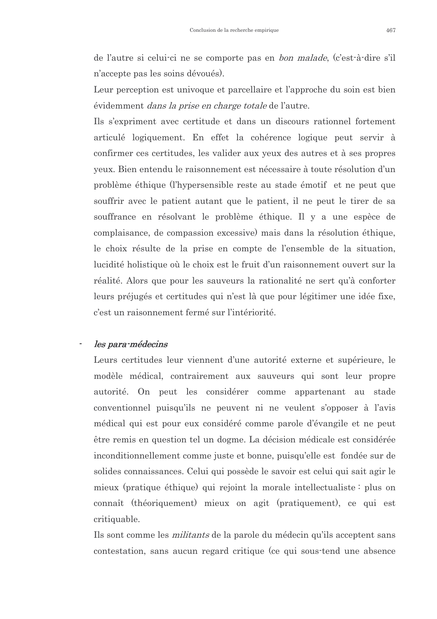de l'autre si celui-ci ne se comporte pas en *bon malade*, (c'est-à-dire s'il n'accepte pas les soins dévoués).

Leur perception est univoque et parcellaire et l'approche du soin est bien évidemment *dans la prise en charge totale* de l'autre.

Ils s'expriment avec certitude et dans un discours rationnel fortement articulé logiquement. En effet la cohérence logique peut servir à confirmer ces certitudes, les valider aux yeux des autres et à ses propres yeux. Bien entendu le raisonnement est nécessaire à toute résolution d'un problème éthique (l'hypersensible reste au stade émotif et ne peut que souffrir avec le patient autant que le patient, il ne peut le tirer de sa souffrance en résolvant le problème éthique. Il y a une espèce de complaisance, de compassion excessive) mais dans la résolution éthique, le choix résulte de la prise en compte de l'ensemble de la situation, lucidité holistique où le choix est le fruit d'un raisonnement ouvert sur la réalité. Alors que pour les sauveurs la rationalité ne sert qu'à conforter leurs préjugés et certitudes qui n'est là que pour légitimer une idée fixe, c'est un raisonnement fermé sur l'intériorité

#### les para-médecins

Leurs certitudes leur viennent d'une autorité externe et supérieure, le modèle médical, contrairement aux sauveurs qui sont leur propre autorité. On peut les considérer comme appartenant au stade conventionnel puisqu'ils ne peuvent ni ne veulent s'opposer à l'avis médical qui est pour eux considéré comme parole d'évangile et ne peut être remis en question tel un dogme. La décision médicale est considérée inconditionnellement comme juste et bonne, puisqu'elle est fondée sur de solides connaissances. Celui qui possède le savoir est celui qui sait agir le mieux (pratique éthique) qui rejoint la morale intellectualiste : plus on connaît (théoriquement) mieux on agit (pratiquement), ce qui est critiquable.

Ils sont comme les *militants* de la parole du médecin qu'ils acceptent sans contestation, sans aucun regard critique (ce qui sous-tend une absence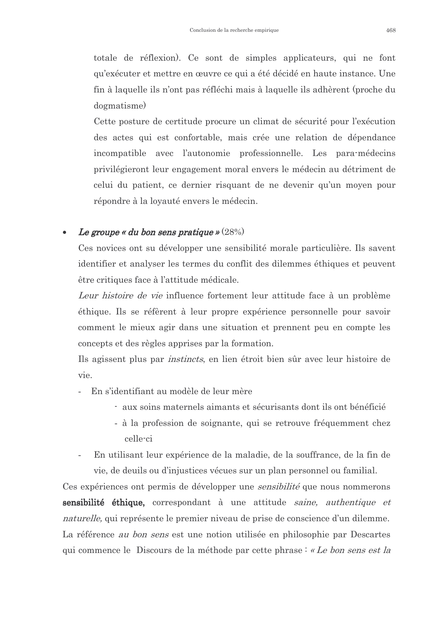totale de réflexion). Ce sont de simples applicateurs, qui ne font qu'exécuter et mettre en œuvre ce qui a été décidé en haute instance. Une fin à laquelle ils n'ont pas réfléchi mais à laquelle ils adhèrent (proche du dogmatisme)

Cette posture de certitude procure un climat de sécurité pour l'exécution des actes qui est confortable, mais crée une relation de dépendance incompatible avec l'autonomie professionnelle. Les para-médecins privilégieront leur engagement moral envers le médecin au détriment de celui du patient, ce dernier risquant de ne devenir qu'un moyen pour répondre à la loyauté envers le médecin.

#### Le groupe « du bon sens pratique »  $(28%)$

Ces novices ont su développer une sensibilité morale particulière. Ils savent identifier et analyser les termes du conflit des dilemmes éthiques et peuvent être critiques face à l'attitude médicale.

Leur histoire de vie influence fortement leur attitude face à un problème éthique. Ils se réfèrent à leur propre expérience personnelle pour savoir comment le mieux agir dans une situation et prennent peu en compte les concepts et des règles apprises par la formation.

Ils agissent plus par *instincts*, en lien étroit bien sûr avec leur histoire de vie.

- En s'identifiant au modèle de leur mère
	- aux soins maternels aimants et sécurisants dont ils ont bénéficié
	- à la profession de soignante, qui se retrouve fréquemment chez celle-ci
- En utilisant leur expérience de la maladie, de la souffrance, de la fin de vie, de deuils ou d'injustices vécues sur un plan personnel ou familial.

Ces expériences ont permis de développer une *sensibilité* que nous nommerons sensibilité éthique, correspondant à une attitude saine, authentique et *naturelle*, qui représente le premier niveau de prise de conscience d'un dilemme. La référence *au bon sens* est une notion utilisée en philosophie par Descartes qui commence le Discours de la méthode par cette phrase : « Le bon sens est la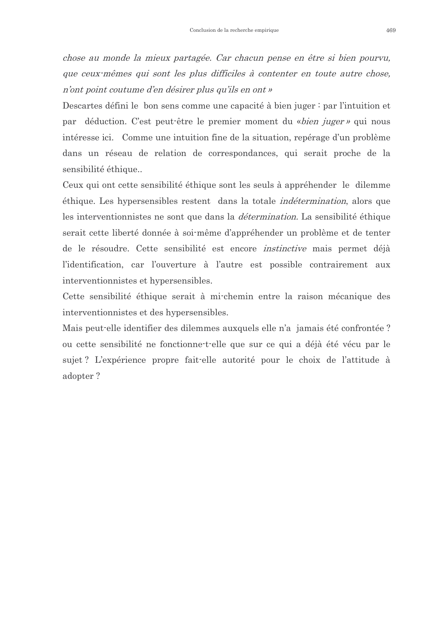chose au monde la mieux partagée. Car chacun pense en être si bien pourvu, que ceux-mêmes qui sont les plus difficiles à contenter en toute autre chose, n'ont point coutume d'en désirer plus qu'ils en ont »

Descartes défini le bon sens comme une capacité à bien juger : par l'intuition et par déduction. C'est peut-être le premier moment du «bien juger» qui nous intéresse ici. Comme une intuition fine de la situation, repérage d'un problème dans un réseau de relation de correspondances, qui serait proche de la sensibilité éthique...

Ceux qui ont cette sensibilité éthique sont les seuls à appréhender le dilemme éthique. Les hypersensibles restent dans la totale *indétermination*, alors que les interventionnistes ne sont que dans la *détermination*. La sensibilité éthique serait cette liberté donnée à soi-même d'appréhender un problème et de tenter de le résoudre. Cette sensibilité est encore *instinctive* mais permet déjà l'identification, car l'ouverture à l'autre est possible contrairement aux interventionnistes et hypersensibles.

Cette sensibilité éthique serait à mi-chemin entre la raison mécanique des interventionnistes et des hypersensibles.

Mais peut-elle identifier des dilemmes auxquels elle n'a jamais été confrontée ? ou cette sensibilité ne fonctionne-t-elle que sur ce qui a déjà été vécu par le sujet? L'expérience propre fait-elle autorité pour le choix de l'attitude à adopter?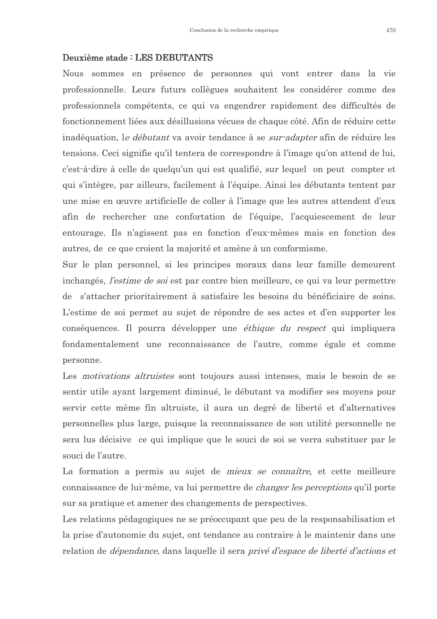#### Deuxième stade : LES DEBUTANTS

Nous sommes en présence de personnes qui vont entrer dans la vie professionnelle. Leurs futurs collègues souhaitent les considérer comme des professionnels compétents, ce qui va engendrer rapidement des difficultés de fonctionnement liées aux désillusions vécues de chaque côté. Afin de réduire cette inadéquation, le *débutant* va avoir tendance à se *sur-adapter* afin de réduire les tensions. Ceci signifie qu'il tentera de correspondre à l'image qu'on attend de lui, c'est-à-dire à celle de quelqu'un qui est qualifié, sur lequel on peut compter et qui s'intègre, par ailleurs, facilement à l'équipe. Ainsi les débutants tentent par une mise en œuvre artificielle de coller à l'image que les autres attendent d'eux afin de rechercher une confortation de l'équipe, l'acquiescement de leur entourage. Ils n'agissent pas en fonction d'eux-mêmes mais en fonction des autres, de ce que croient la majorité et amène à un conformisme.

Sur le plan personnel, si les principes moraux dans leur famille demeurent inchangés, *l'estime de soi* est par contre bien meilleure, ce qui va leur permettre de s'attacher prioritairement à satisfaire les besoins du bénéficiaire de soins. L'estime de soi permet au sujet de répondre de ses actes et d'en supporter les conséquences. Il pourra développer une *éthique du respect* qui impliquera fondamentalement une reconnaissance de l'autre, comme égale et comme personne.

Les *motivations altruistes* sont toujours aussi intenses, mais le besoin de se sentir utile ayant largement diminué, le débutant va modifier ses moyens pour servir cette même fin altruiste, il aura un degré de liberté et d'alternatives personnelles plus large, puisque la reconnaissance de son utilité personnelle ne sera lus décisive ce qui implique que le souci de soi se verra substituer par le souci de l'autre.

La formation a permis au sujet de *mieux se connaître*, et cette meilleure connaissance de lui-même, va lui permettre de *changer les perceptions* qu'il porte sur sa pratique et amener des changements de perspectives.

Les relations pédagogiques ne se préoccupant que peu de la responsabilisation et la prise d'autonomie du sujet, ont tendance au contraire à le maintenir dans une relation de *dépendance*, dans laquelle il sera *privé d'espace de liberté d'actions et*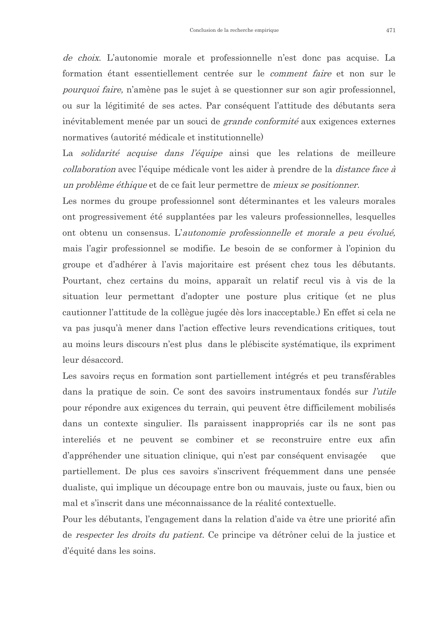de choix. L'autonomie morale et professionnelle n'est donc pas acquise. La formation étant essentiellement centrée sur le *comment faire* et non sur le *pourquoi faire*, n'amène pas le sujet à se questionner sur son agir professionnel, ou sur la légitimité de ses actes. Par conséquent l'attitude des débutants sera inévitablement menée par un souci de *grande conformité* aux exigences externes normatives (autorité médicale et institutionnelle)

La solidarité acquise dans l'équipe ainsi que les relations de meilleure collaboration avec l'équipe médicale vont les aider à prendre de la *distance face à* un problème éthique et de ce fait leur permettre de mieux se positionner.

Les normes du groupe professionnel sont déterminantes et les valeurs morales ont progressivement été supplantées par les valeurs professionnelles, lesquelles ont obtenu un consensus. L'autonomie professionnelle et morale a peu évolué. mais l'agir professionnel se modifie. Le besoin de se conformer à l'opinion du groupe et d'adhérer à l'avis majoritaire est présent chez tous les débutants. Pourtant, chez certains du moins, apparaît un relatif recul vis à vis de la situation leur permettant d'adopter une posture plus critique (et ne plus cautionner l'attitude de la collègue jugée dès lors inacceptable.) En effet si cela ne va pas jusqu'à mener dans l'action effective leurs revendications critiques, tout au moins leurs discours n'est plus dans le plébiscite systématique, ils expriment leur désaccord.

Les savoirs reçus en formation sont partiellement intégrés et peu transférables dans la pratique de soin. Ce sont des savoirs instrumentaux fondés sur *l'utile* pour répondre aux exigences du terrain, qui peuvent être difficilement mobilisés dans un contexte singulier. Ils paraissent inappropriés car ils ne sont pas intereliés et ne peuvent se combiner et se reconstruire entre eux afin d'appréhender une situation clinique, qui n'est par conséquent envisagée que partiellement. De plus ces savoirs s'inscrivent fréquemment dans une pensée dualiste, qui implique un découpage entre bon ou mauvais, juste ou faux, bien ou mal et s'inscrit dans une méconnaissance de la réalité contextuelle.

Pour les débutants, l'engagement dans la relation d'aide va être une priorité afin de *respecter les droits du patient*. Ce principe va détrôner celui de la justice et d'équité dans les soins.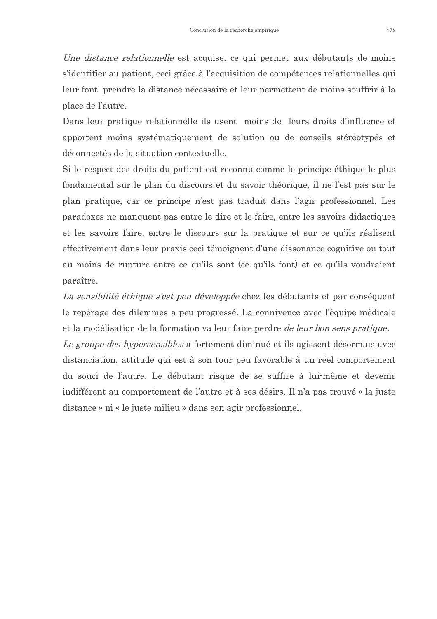*Une distance relationnelle* est acquise, ce qui permet aux débutants de moins s'identifier au patient, ceci grâce à l'acquisition de compétences relationnelles qui leur font prendre la distance nécessaire et leur permettent de moins souffrir à la place de l'autre.

Dans leur pratique relationnelle ils usent moins de leurs droits d'influence et apportent moins systématiquement de solution ou de conseils stéréotypés et déconnectés de la situation contextuelle.

Si le respect des droits du patient est reconnu comme le principe éthique le plus fondamental sur le plan du discours et du savoir théorique, il ne l'est pas sur le plan pratique, car ce principe n'est pas traduit dans l'agir professionnel. Les paradoxes ne manquent pas entre le dire et le faire, entre les savoirs didactiques et les savoirs faire, entre le discours sur la pratique et sur ce qu'ils réalisent effectivement dans leur praxis ceci témoignent d'une dissonance cognitive ou tout au moins de rupture entre ce qu'ils sont (ce qu'ils font) et ce qu'ils voudraient paraître.

La sensibilité éthique s'est peu développée chez les débutants et par conséquent le repérage des dilemmes a peu progressé. La connivence avec l'équipe médicale et la modélisation de la formation va leur faire perdre *de leur bon sens pratique*.

Le groupe des hypersensibles a fortement diminué et ils agissent désormais avec distanciation, attitude qui est à son tour peu favorable à un réel comportement du souci de l'autre. Le débutant risque de se suffire à lui-même et devenir indifférent au comportement de l'autre et à ses désirs. Il n'a pas trouvé « la juste distance » ni « le juste milieu » dans son agir professionnel.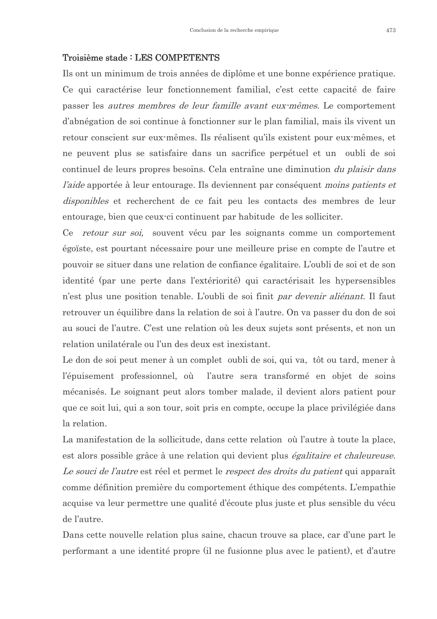#### Troisième stade : LES COMPETENTS

Ils ont un minimum de trois années de diplôme et une bonne expérience pratique. Ce qui caractérise leur fonctionnement familial, c'est cette capacité de faire passer les *autres membres de leur famille avant eux-mêmes*. Le comportement d'abnégation de soi continue à fonctionner sur le plan familial, mais ils vivent un retour conscient sur eux mêmes. Ils réalisent qu'ils existent pour eux mêmes, et ne peuvent plus se satisfaire dans un sacrifice perpétuel et un oubli de soi continuel de leurs propres besoins. Cela entraîne une diminution *du plaisir dans l'aide* apportée à leur entourage. Ils deviennent par conséquent *moins patients et disponibles* et recherchent de ce fait peu les contacts des membres de leur entourage, bien que ceux-ci continuent par habitude de les solliciter.

Ce retour sur soi, souvent vécu par les soignants comme un comportement égoïste, est pourtant nécessaire pour une meilleure prise en compte de l'autre et pouvoir se situer dans une relation de confiance égalitaire. L'oubli de soi et de son identité (par une perte dans l'extériorité) qui caractérisait les hypersensibles n'est plus une position tenable. L'oubli de soi finit *par devenir aliénant*. Il faut retrouver un équilibre dans la relation de soi à l'autre. On va passer du don de soi au souci de l'autre. C'est une relation où les deux sujets sont présents, et non un relation unilatérale ou l'un des deux est inexistant.

Le don de soi peut mener à un complet oubli de soi, qui va, tôt ou tard, mener à l'épuisement professionnel, où l'autre sera transformé en objet de soins mécanisés. Le soignant peut alors tomber malade, il devient alors patient pour que ce soit lui, qui a son tour, soit pris en compte, occupe la place privilégiée dans la relation.

La manifestation de la sollicitude, dans cette relation où l'autre à toute la place, est alors possible grâce à une relation qui devient plus *égalitaire et chaleureuse*. Le souci de l'autre est réel et permet le respect des droits du patient qui apparaît comme définition première du comportement éthique des compétents. L'empathie acquise va leur permettre une qualité d'écoute plus juste et plus sensible du vécu de l'autre.

Dans cette nouvelle relation plus saine, chacun trouve sa place, car d'une part le performant a une identité propre (il ne fusionne plus avec le patient), et d'autre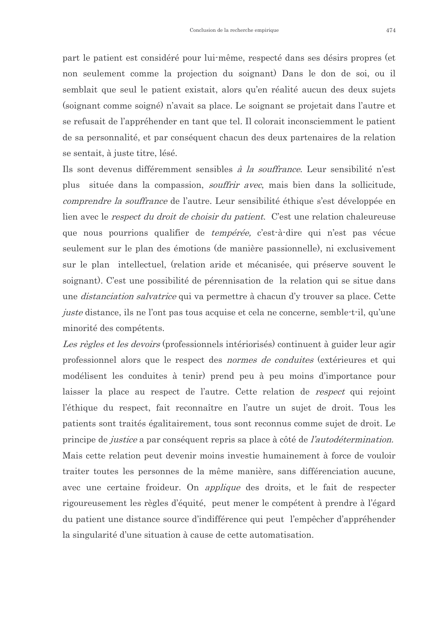part le patient est considéré pour lui-même, respecté dans ses désirs propres (et non seulement comme la projection du soignant) Dans le don de soi, ou il semblait que seul le patient existait, alors qu'en réalité aucun des deux sujets (soignant comme soigné) n'avait sa place. Le soignant se projetait dans l'autre et se refusait de l'appréhender en tant que tel. Il colorait inconsciemment le patient de sa personnalité, et par conséquent chacun des deux partenaires de la relation se sentait, à juste titre, lésé.

Ils sont devenus différemment sensibles à la souffrance. Leur sensibilité n'est plus située dans la compassion, *souffrir avec*, mais bien dans la sollicitude, *comprendre la souffrance* de l'autre. Leur sensibilité éthique s'est développée en lien avec le *respect du droit de choisir du patient*. C'est une relation chaleureuse que nous pourrions qualifier de *tempérée*, c'est-à-dire qui n'est pas vécue seulement sur le plan des émotions (de manière passionnelle), ni exclusivement sur le plan intellectuel, (relation aride et mécanisée, qui préserve souvent le soignant). C'est une possibilité de pérennisation de la relation qui se situe dans une *distanciation salvatrice* qui va permettre à chacun d'y trouver sa place. Cette *juste* distance, ils ne l'ont pas tous acquise et cela ne concerne, semble-t-il, qu'une minorité des compétents.

Les règles et les devoirs (professionnels intériorisés) continuent à guider leur agir professionnel alors que le respect des *normes de conduites* (extérieures et qui modélisent les conduites à tenir) prend peu à peu moins d'importance pour laisser la place au respect de l'autre. Cette relation de *respect* qui rejoint l'éthique du respect, fait reconnaître en l'autre un sujet de droit. Tous les patients sont traités égalitairement, tous sont reconnus comme sujet de droit. Le principe de *justice* a par conséquent repris sa place à côté de *l'autodétermination*. Mais cette relation peut devenir moins investie humainement à force de vouloir traiter toutes les personnes de la même manière, sans différenciation aucune, avec une certaine froideur. On *applique* des droits, et le fait de respecter rigoureusement les règles d'équité, peut mener le compétent à prendre à l'égard du patient une distance source d'indifférence qui peut l'empêcher d'appréhender la singularité d'une situation à cause de cette automatisation.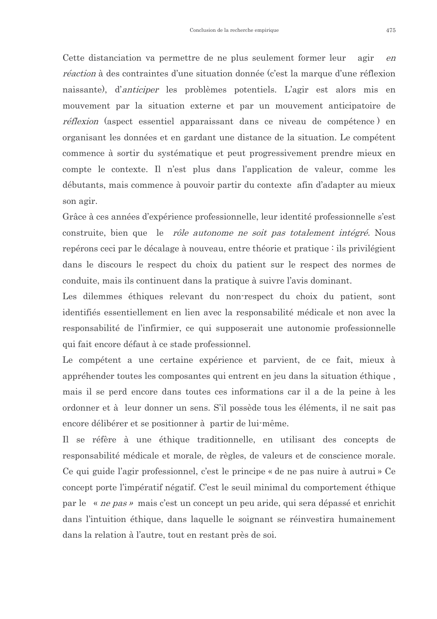Cette distanciation va permettre de ne plus seulement former leur agir  $e$ n *réaction* à des contraintes d'une situation donnée (c'est la marque d'une réflexion naissante), d'anticiper les problèmes potentiels. L'agir est alors mis en mouvement par la situation externe et par un mouvement anticipatoire de *réflexion* (aspect essentiel apparaissant dans ce niveau de compétence) en organisant les données et en gardant une distance de la situation. Le compétent commence à sortir du systématique et peut progressivement prendre mieux en compte le contexte. Il n'est plus dans l'application de valeur, comme les débutants, mais commence à pouvoir partir du contexte afin d'adapter au mieux son agir.

Grâce à ces années d'expérience professionnelle, leur identité professionnelle s'est construite, bien que le rôle autonome ne soit pas totalement intégré. Nous repérons ceci par le décalage à nouveau, entre théorie et pratique : ils privilégient dans le discours le respect du choix du patient sur le respect des normes de conduite, mais ils continuent dans la pratique à suivre l'avis dominant.

Les dilemmes éthiques relevant du non-respect du choix du patient, sont identifiés essentiellement en lien avec la responsabilité médicale et non avec la responsabilité de l'infirmier, ce qui supposerait une autonomie professionnelle qui fait encore défaut à ce stade professionnel.

Le compétent a une certaine expérience et parvient, de ce fait, mieux à appréhender toutes les composantes qui entrent en jeu dans la situation éthique, mais il se perd encore dans toutes ces informations car il a de la peine à les ordonner et à leur donner un sens. S'il possède tous les éléments, il ne sait pas encore délibérer et se positionner à partir de lui-même.

Il se réfère à une éthique traditionnelle, en utilisant des concepts de responsabilité médicale et morale, de règles, de valeurs et de conscience morale. Ce qui guide l'agir professionnel, c'est le principe « de ne pas nuire à autrui » Ce concept porte l'impératif négatif. C'est le seuil minimal du comportement éthique par le « *ne pas* » mais c'est un concept un peu aride, qui sera dépassé et enrichit dans l'intuition éthique, dans laquelle le soignant se réinvestira humainement dans la relation à l'autre, tout en restant près de soi.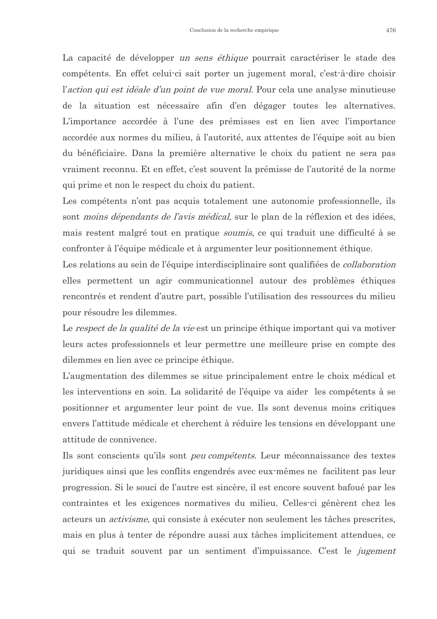La capacité de développer *un sens éthique* pourrait caractériser le stade des compétents. En effet celui-ci sait porter un jugement moral, c'est-à-dire choisir l'action qui est idéale d'un point de vue moral. Pour cela une analyse minutieuse de la situation est nécessaire afin d'en dégager toutes les alternatives. L'importance accordée à l'une des prémisses est en lien avec l'importance accordée aux normes du milieu, à l'autorité, aux attentes de l'équipe soit au bien du bénéficiaire. Dans la première alternative le choix du patient ne sera pas vraiment reconnu. Et en effet, c'est souvent la prémisse de l'autorité de la norme qui prime et non le respect du choix du patient.

Les compétents n'ont pas acquis totalement une autonomie professionnelle, ils sont *moins dépendants de l'avis médical*, sur le plan de la réflexion et des idées, mais restent malgré tout en pratique *soumis*, ce qui traduit une difficulté à se confronter à l'équipe médicale et à argumenter leur positionnement éthique.

Les relations au sein de l'équipe interdisciplinaire sont qualifiées de *collaboration* elles permettent un agir communicationnel autour des problèmes éthiques rencontrés et rendent d'autre part, possible l'utilisation des ressources du milieu pour résoudre les dilemmes.

Le respect de la qualité de la vie est un principe éthique important qui va motiver leurs actes professionnels et leur permettre une meilleure prise en compte des dilemmes en lien avec ce principe éthique.

L'augmentation des dilemmes se situe principalement entre le choix médical et les interventions en soin. La solidarité de l'équipe va aider les compétents à se positionner et argumenter leur point de vue. Ils sont devenus moins critiques envers l'attitude médicale et cherchent à réduire les tensions en développant une attitude de connivence

Ils sont conscients qu'ils sont *peu compétents*. Leur méconnaissance des textes juridiques ainsi que les conflits engendrés avec eux mêmes ne facilitent pas leur progression. Si le souci de l'autre est sincère, il est encore souvent bafoué par les contraintes et les exigences normatives du milieu. Celles-ci génèrent chez les acteurs un *activisme*, qui consiste à exécuter non seulement les tâches prescrites, mais en plus à tenter de répondre aussi aux tâches implicitement attendues, ce qui se traduit souvent par un sentiment d'impuissance. C'est le *jugement*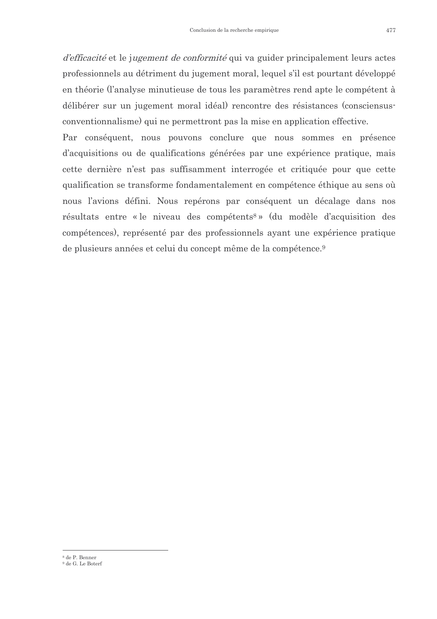d'efficacité et le jugement de conformité qui va guider principalement leurs actes professionnels au détriment du jugement moral, lequel s'il est pourtant développé en théorie (l'analyse minutieuse de tous les paramètres rend apte le compétent à délibérer sur un jugement moral idéal) rencontre des résistances (consciensusconventionnalisme) qui ne permettront pas la mise en application effective.

Par conséquent, nous pouvons conclure que nous sommes en présence d'acquisitions ou de qualifications générées par une expérience pratique, mais cette dernière n'est pas suffisamment interrogée et critiquée pour que cette qualification se transforme fondamentalement en compétence éthique au sens où nous l'avions défini. Nous repérons par conséquent un décalage dans nos résultats entre « le niveau des compétents<sup>8</sup> » (du modèle d'acquisition des compétences), représenté par des professionnels ayant une expérience pratique de plusieurs années et celui du concept même de la compétence.<sup>9</sup>

<sup>&</sup>lt;sup>8</sup> de P. Benner

<sup>&</sup>lt;sup>9</sup> de G. Le Boterf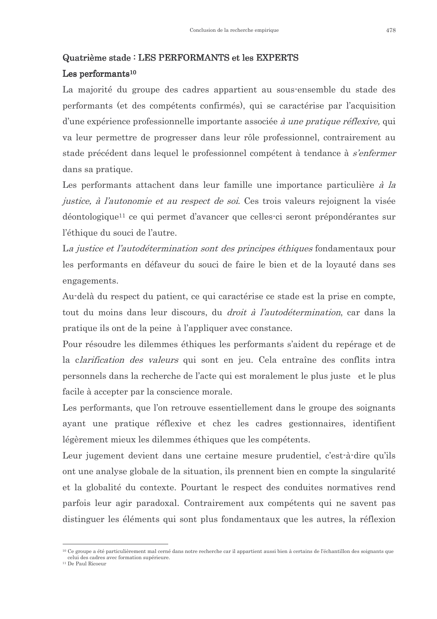#### Quatrième stade : LES PERFORMANTS et les EXPERTS

#### Les performants $10$

La majorité du groupe des cadres appartient au sous-ensemble du stade des performants (et des compétents confirmés), qui se caractérise par l'acquisition d'une expérience professionnelle importante associée à une pratique réflexive, qui va leur permettre de progresser dans leur rôle professionnel, contrairement au stade précédent dans lequel le professionnel compétent à tendance à s'enfermer dans sa pratique.

Les performants attachent dans leur famille une importance particulière *à la* justice, à l'autonomie et au respect de soi. Ces trois valeurs rejoignent la visée déontologique<sup>11</sup> ce qui permet d'avancer que celles-ci seront prépondérantes sur l'éthique du souci de l'autre.

La justice et l'autodétermination sont des principes éthiques fondamentaux pour les performants en défaveur du souci de faire le bien et de la loyauté dans ses engagements.

Au-delà du respect du patient, ce qui caractérise ce stade est la prise en compte, tout du moins dans leur discours, du *droit à l'autodétermination*, car dans la pratique ils ont de la peine à l'appliquer avec constance.

Pour résoudre les dilemmes éthiques les performants s'aident du repérage et de la clarification des valeurs qui sont en jeu. Cela entraîne des conflits intra personnels dans la recherche de l'acte qui est moralement le plus juste et le plus facile à accepter par la conscience morale.

Les performants, que l'on retrouve essentiellement dans le groupe des soignants ayant une pratique réflexive et chez les cadres gestionnaires, identifient légèrement mieux les dilemmes éthiques que les compétents.

Leur jugement devient dans une certaine mesure prudentiel, c'est-à-dire qu'ils ont une analyse globale de la situation, ils prennent bien en compte la singularité et la globalité du contexte. Pourtant le respect des conduites normatives rend parfois leur agir paradoxal. Contrairement aux compétents qui ne savent pas distinguer les éléments qui sont plus fondamentaux que les autres, la réflexion

<sup>&</sup>lt;sup>10</sup> Ce groupe a été particulièrement mal cerné dans notre recherche car il appartient aussi bien à certains de l'échantillon des soignants que celui des cadres avec formation supérieure.

<sup>&</sup>lt;sup>11</sup> De Paul Ricoeur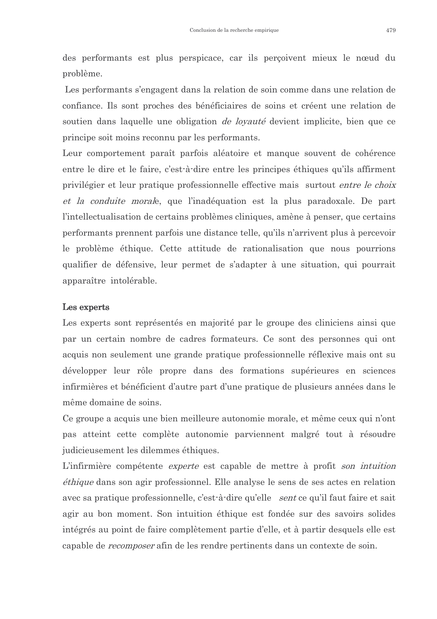des performants est plus perspicace, car ils percoivent mieux le nœud du problème.

Les performants s'engagent dans la relation de soin comme dans une relation de confiance. Ils sont proches des bénéficiaires de soins et créent une relation de soutien dans laquelle une obligation *de loyauté* devient implicite, bien que ce principe soit moins reconnu par les performants.

Leur comportement paraît parfois aléatoire et manque souvent de cohérence entre le dire et le faire, c'est-à-dire entre les principes éthiques qu'ils affirment privilégier et leur pratique professionnelle effective mais surtout *entre le choix* et la conduite morale, que l'inadéquation est la plus paradoxale. De part l'intellectualisation de certains problèmes cliniques, amène à penser, que certains performants prennent parfois une distance telle, qu'ils n'arrivent plus à percevoir le problème éthique. Cette attitude de rationalisation que nous pourrions qualifier de défensive, leur permet de s'adapter à une situation, qui pourrait apparaître intolérable.

#### Les experts

Les experts sont représentés en majorité par le groupe des cliniciens ainsi que par un certain nombre de cadres formateurs. Ce sont des personnes qui ont acquis non seulement une grande pratique professionnelle réflexive mais ont su développer leur rôle propre dans des formations supérieures en sciences infirmières et bénéficient d'autre part d'une pratique de plusieurs années dans le même domaine de soins.

Ce groupe a acquis une bien meilleure autonomie morale, et même ceux qui n'ont pas atteint cette complète autonomie parviennent malgré tout à résoudre judicieus ement les dilemmes éthiques.

L'infirmière compétente *experte* est capable de mettre à profit son intuition *éthique* dans son agir professionnel. Elle analyse le sens de ses actes en relation avec sa pratique professionnelle, c'est-à-dire qu'elle sent ce qu'il faut faire et sait agir au bon moment. Son intuition éthique est fondée sur des savoirs solides intégrés au point de faire complètement partie d'elle, et à partir desquels elle est capable de *recomposer* afin de les rendre pertinents dans un contexte de soin.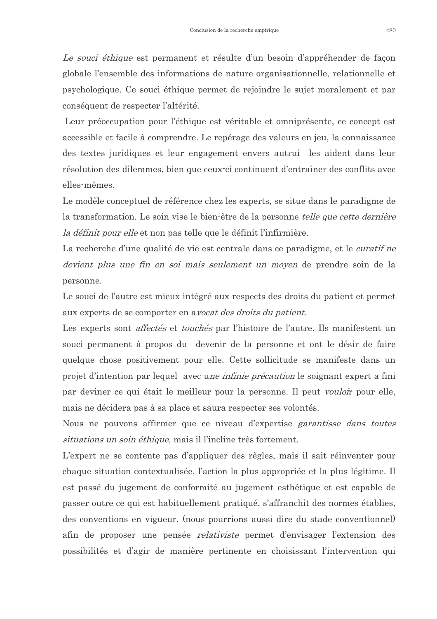Le souci éthique est permanent et résulte d'un besoin d'appréhender de façon globale l'ensemble des informations de nature organisationnelle, relationnelle et psychologique. Ce souci éthique permet de rejoindre le sujet moralement et par conséquent de respecter l'altérité.

Leur préoccupation pour l'éthique est véritable et omniprésente, ce concept est accessible et facile à comprendre. Le repérage des valeurs en jeu, la connaissance des textes juridiques et leur engagement envers autrui les aident dans leur résolution des dilemmes, bien que ceux-ci continuent d'entraîner des conflits avec elles-mêmes.

Le modèle conceptuel de référence chez les experts, se situe dans le paradigme de la transformation. Le soin vise le bien-être de la personne *telle que cette dernière la définit pour elle* et non pas telle que le définit l'infirmière.

La recherche d'une qualité de vie est centrale dans ce paradigme, et le *curatif ne* devient plus une fin en soi mais seulement un moyen de prendre soin de la personne.

Le souci de l'autre est mieux intégré aux respects des droits du patient et permet aux experts de se comporter en avocat des droits du patient.

Les experts sont *affectés* et *touchés* par l'histoire de l'autre. Ils manifestent un souci permanent à propos du devenir de la personne et ont le désir de faire quelque chose positivement pour elle. Cette sollicitude se manifeste dans un projet d'intention par lequel avec une *infinie précaution* le soignant expert a fini par deviner ce qui était le meilleur pour la personne. Il peut *vouloi*r pour elle, mais ne décidera pas à sa place et saura respecter ses volontés.

Nous ne pouvons affirmer que ce niveau d'expertise garantisse dans toutes situations un soin éthique, mais il l'incline très fortement.

L'expert ne se contente pas d'appliquer des règles, mais il sait réinventer pour chaque situation contextualisée, l'action la plus appropriée et la plus légitime. Il est passé du jugement de conformité au jugement esthétique et est capable de passer outre ce qui est habituellement pratiqué, s'affranchit des normes établies, des conventions en vigueur. (nous pourrions aussi dire du stade conventionnel) afin de proposer une pensée *relativiste* permet d'envisager l'extension des possibilités et d'agir de manière pertinente en choisissant l'intervention qui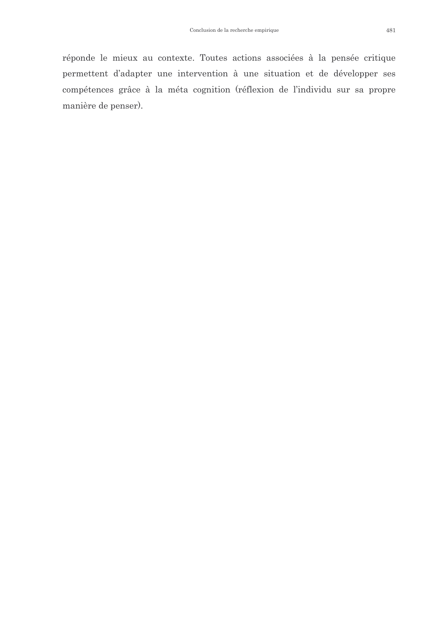réponde le mieux au contexte. Toutes actions associées à la pensée critique permettent d'adapter une intervention à une situation et de développer ses compétences grâce à la méta cognition (réflexion de l'individu sur sa propre manière de penser).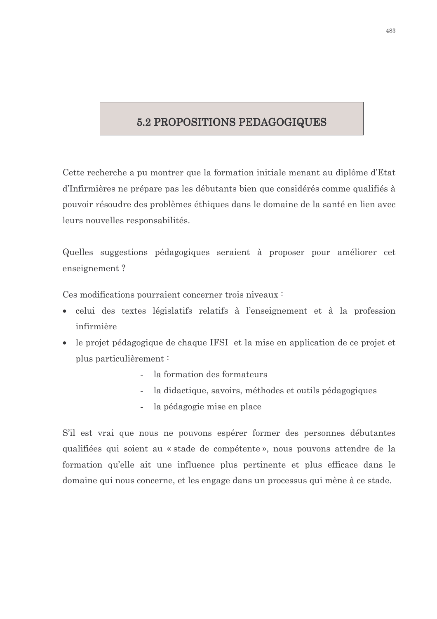## 5.2 PROPOSITIONS PEDAGOGIQUES

Cette recherche a pu montrer que la formation initiale menant au diplôme d'Etat d'Infirmières ne prépare pas les débutants bien que considérés comme qualifiés à pouvoir résoudre des problèmes éthiques dans le domaine de la santé en lien avec leurs nouvelles responsabilités.

Quelles suggestions pédagogiques seraient à proposer pour améliorer cet enseignement?

Ces modifications pourraient concerner trois niveaux :

- celui des textes législatifs relatifs à l'enseignement et à la profession  $\bullet$ infirmière
- le projet pédagogique de chaque IFSI et la mise en application de ce projet et plus particulièrement:
	- la formation des formateurs  $\mathbb{Z}^{\mathbb{Z}}$
	- la didactique, savoirs, méthodes et outils pédagogiques
	- la pédagogie mise en place  $\mathbb{L}^{\mathbb{N}}$

S'il est vrai que nous ne pouvons espérer former des personnes débutantes qualifiées qui soient au « stade de compétente », nous pouvons attendre de la formation qu'elle ait une influence plus pertinente et plus efficace dans le domaine qui nous concerne, et les engage dans un processus qui mène à ce stade.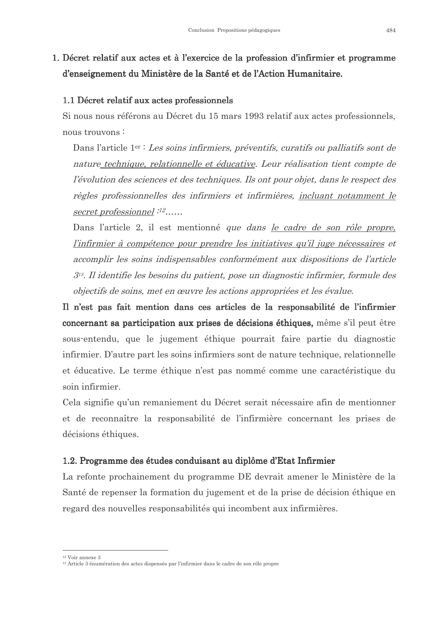## 1. Décret relatif aux actes et à l'exercice de la profession d'infirmier et programme d'enseignement du Ministère de la Santé et de l'Action Humanitaire.

#### 1.1 Décret relatif aux actes professionnels

Si nous nous référons au Décret du 15 mars 1993 relatif aux actes professionnels, nous trouvons:

Dans l'article 1<sup>er :</sup> Les soins infirmiers, préventifs, curatifs ou palliatifs sont de nature technique, relationnelle et éducative. Leur réalisation tient compte de l'évolution des sciences et des techniques. Ils ont pour objet, dans le respect des règles professionnelles des infirmiers et infirmières, incluant notamment le secret professionnel :<sup>12</sup>......

Dans l'article 2, il est mentionné que dans le cadre de son rôle propre, l'infirmier à compétence pour prendre les initiatives qu'il juge nécessaires et accomplir les soins indispensables conformément aux dispositions de l'article  $3<sup>13</sup>$ . Il identifie les besoins du patient, pose un diagnostic infirmier, formule des objectifs de soins, met en œuvre les actions appropriées et les évalue.

Il n'est pas fait mention dans ces articles de la responsabilité de l'infirmier concernant sa participation aux prises de décisions éthiques, même s'il peut être sous-entendu, que le jugement éthique pourrait faire partie du diagnostic infirmier. D'autre part les soins infirmiers sont de nature technique, relationnelle et éducative. Le terme éthique n'est pas nommé comme une caractéristique du soin infirmier

Cela signifie qu'un remaniement du Décret serait nécessaire afin de mentionner et de reconnaître la responsabilité de l'infirmière concernant les prises de décisions éthiques.

#### 1.2. Programme des études conduisant au diplôme d'Etat Infirmier

La refonte prochainement du programme DE devrait amener le Ministère de la Santé de repenser la formation du jugement et de la prise de décision éthique en regard des nouvelles responsabilités qui incombent aux infirmières.

<sup>&</sup>lt;sup>12</sup> Voir annexe 3

<sup>&</sup>lt;sup>13</sup> Article 3 énumération des actes dispensés par l'infirmier dans le cadre de son rôle propre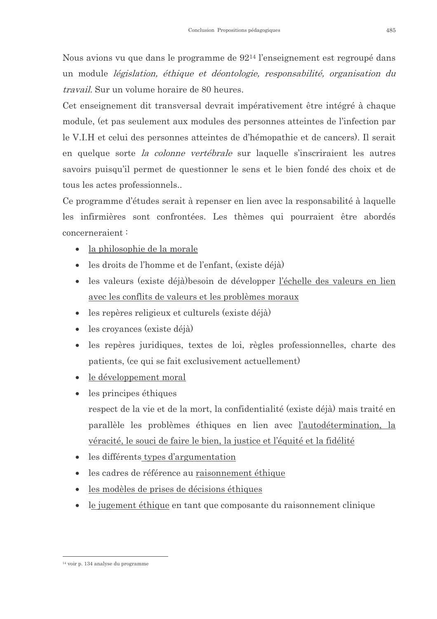Nous avions vu que dans le programme de 92<sup>14</sup> l'enseignement est regroupé dans un module *législation*, éthique et déontologie, responsabilité, organisation du *travail.* Sur un volume horaire de 80 heures.

Cet enseignement dit transversal devrait impérativement être intégré à chaque module, (et pas seulement aux modules des personnes atteintes de l'infection par le V.I.H et celui des personnes atteintes de d'hémopathie et de cancers). Il serait en quelque sorte la colonne vertébrale sur laquelle s'inscriraient les autres savoirs puisqu'il permet de questionner le sens et le bien fondé des choix et de tous les actes professionnels...

Ce programme d'études serait à repenser en lien avec la responsabilité à laquelle les infirmières sont confrontées. Les thèmes qui pourraient être abordés concerneraient:

- la philosophie de la morale
- $\bullet$  les droits de l'homme et de l'enfant, (existe déjà)
- les valeurs (existe déjà) besoin de développer l'échelle des valeurs en lien avec les conflits de valeurs et les problèmes moraux
- les repères religieux et culturels (existe déjà)
- les croyances (existe déjà)
- les repères juridiques, textes de loi, règles professionnelles, charte des patients, (ce qui se fait exclusivement actuellement)
- le développement moral
- $\bullet$  les principes éthiques respect de la vie et de la mort, la confidentialité (existe déjà) mais traité en parallèle les problèmes éthiques en lien avec l'autodétermination, la véracité, le souci de faire le bien, la justice et l'équité et la fidélité
- les différents types d'argumentation
- les cadres de référence au raisonnement éthique
- les modèles de prises de décisions éthiques
- le jugement éthique en tant que composante du raisonnement clinique

 $14$  voir n 134 analyse du programme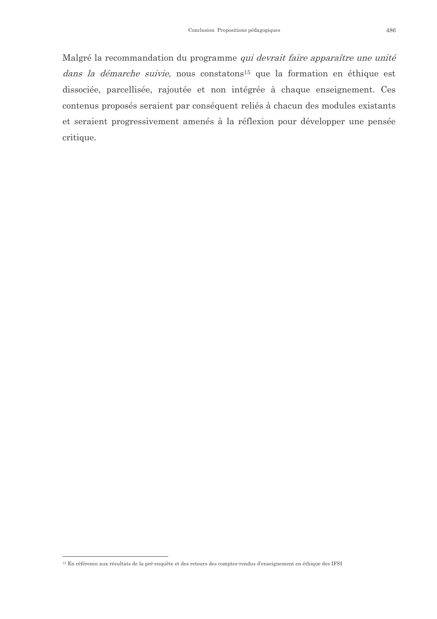Malgré la recommandation du programme qui devrait faire apparaître une unité dans la démarche suivie, nous constatons<sup>15</sup> que la formation en éthique est dissociée, parcellisée, rajoutée et non intégrée à chaque enseignement. Ces contenus proposés seraient par conséquent reliés à chacun des modules existants et seraient progressivement amenés à la réflexion pour développer une pensée critique.

<sup>&</sup>lt;sup>15</sup> En référence aux résultats de la pré-enquête et des retours des comptes-rendus d'enseignement en éthique des IFSI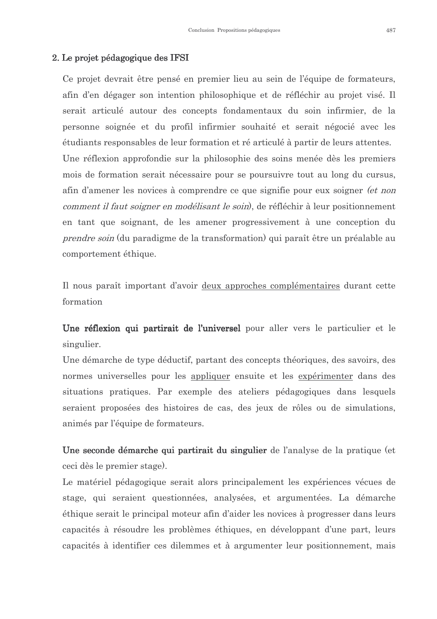#### 2. Le projet pédagogique des IFSI

Ce projet devrait être pensé en premier lieu au sein de l'équipe de formateurs, afin d'en dégager son intention philosophique et de réfléchir au projet visé. Il serait articulé autour des concepts fondamentaux du soin infirmier, de la personne soignée et du profil infirmier souhaité et serait négocié avec les étudiants responsables de leur formation et ré articulé à partir de leurs attentes. Une réflexion approfondie sur la philosophie des soins menée dès les premiers mois de formation serait nécessaire pour se poursuivre tout au long du cursus, afin d'amener les novices à comprendre ce que signifie pour eux soigner *(et non*) *comment il faut soigner en modélisant le soin*), de réfléchir à leur positionnement en tant que soignant, de les amener progressivement à une conception du *prendre soin* (du paradigme de la transformation) qui paraît être un préalable au comportement éthique.

Il nous paraît important d'avoir deux approches complémentaires durant cette formation

Une réflexion qui partirait de l'universel pour aller vers le particulier et le singulier.

Une démarche de type déductif, partant des concepts théoriques, des savoirs, des normes universelles pour les appliquer ensuite et les expérimenter dans des situations pratiques. Par exemple des ateliers pédagogiques dans lesquels seraient proposées des histoires de cas, des jeux de rôles ou de simulations, animés par l'équipe de formateurs.

Une seconde démarche qui partirait du singulier de l'analyse de la pratique (et ceci dès le premier stage).

Le matériel pédagogique serait alors principalement les expériences vécues de stage, qui seraient questionnées, analysées, et argumentées. La démarche éthique serait le principal moteur afin d'aider les novices à progresser dans leurs capacités à résoudre les problèmes éthiques, en développant d'une part, leurs capacités à identifier ces dilemmes et à argumenter leur positionnement, mais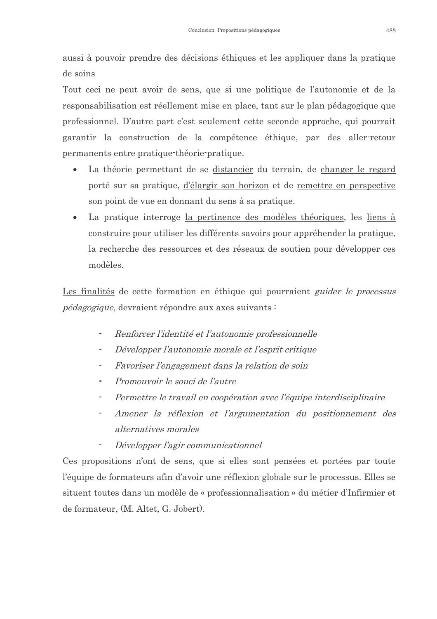aussi à pouvoir prendre des décisions éthiques et les appliquer dans la pratique de soins

Tout ceci ne peut avoir de sens, que si une politique de l'autonomie et de la responsabilisation est réellement mise en place, tant sur le plan pédagogique que professionnel. D'autre part c'est seulement cette seconde approche, qui pourrait garantir la construction de la compétence éthique, par des aller-retour permanents entre pratique-théorie-pratique.

- La théorie permettant de se distancier du terrain, de changer le regard porté sur sa pratique, d'élargir son horizon et de remettre en perspective son point de vue en donnant du sens à sa pratique.
- La pratique interroge la pertinence des modèles théoriques, les liens à  $\bullet$ construire pour utiliser les différents savoirs pour appréhender la pratique, la recherche des ressources et des réseaux de soutien pour développer ces modèles.

Les finalités de cette formation en éthique qui pourraient *guider le processus pédagogique*, devraient répondre aux axes suivants :

- $\blacksquare$ Renforcer l'identité et l'autonomie professionnelle
- $\overline{a}$ Développer l'autonomie morale et l'esprit critique
- Favoriser l'engagement dans la relation de soin
- Promouvoir le souci de l'autre  $\blacksquare$
- Permettre le travail en coopération avec l'équipe interdisciplinaire  $\blacksquare$
- Amener la réflexion et l'argumentation du positionnement des alternatives morales
- Développer l'agir communicationnel

Ces propositions n'ont de sens, que si elles sont pensées et portées par toute l'équipe de formateurs afin d'avoir une réflexion globale sur le processus. Elles se situent toutes dans un modèle de « professionnalisation » du métier d'Infirmier et de formateur, (M. Altet, G. Jobert).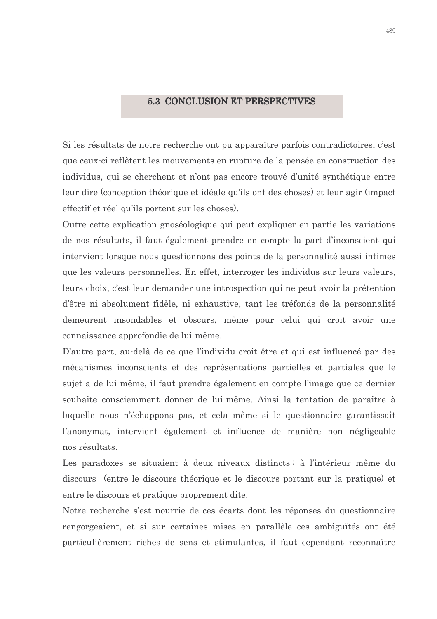#### **5.3 CONCLUSION ET PERSPECTIVES**

Si les résultats de notre recherche ont pu apparaître parfois contradictoires, c'est que ceux ci reflètent les mouvements en rupture de la pensée en construction des individus, qui se cherchent et n'ont pas encore trouvé d'unité synthétique entre leur dire (conception théorique et idéale qu'ils ont des choses) et leur agir (impact effectif et réel qu'ils portent sur les choses.

Outre cette explication gnoséologique qui peut expliquer en partie les variations de nos résultats, il faut également prendre en compte la part d'inconscient qui intervient lorsque nous questionnons des points de la personnalité aussi intimes que les valeurs personnelles. En effet, interroger les individus sur leurs valeurs, leurs choix, c'est leur demander une introspection qui ne peut avoir la prétention d'être ni absolument fidèle, ni exhaustive, tant les tréfonds de la personnalité demeurent insondables et obscurs, même pour celui qui croit avoir une connaissance approfondie de lui-même.

D'autre part, au-delà de ce que l'individu croit être et qui est influencé par des mécanismes inconscients et des représentations partielles et partiales que le sujet a de lui-même, il faut prendre également en compte l'image que ce dernier souhaite consciemment donner de lui-même. Ainsi la tentation de paraître à laquelle nous n'échappons pas, et cela même si le questionnaire garantissait l'anonymat, intervient également et influence de manière non négligeable nos résultats.

Les paradoxes se situaient à deux niveaux distincts : à l'intérieur même du discours (entre le discours théorique et le discours portant sur la pratique) et entre le discours et pratique proprement dite.

Notre recherche s'est nourrie de ces écarts dont les réponses du questionnaire rengorgeaient, et si sur certaines mises en parallèle ces ambiguïtés ont été particulièrement riches de sens et stimulantes, il faut cependant reconnaître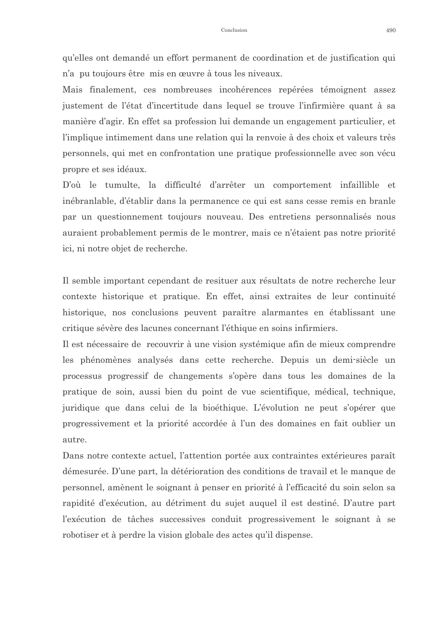qu'elles ont demandé un effort permanent de coordination et de justification qui n'a pu toujours être mis en œuvre à tous les niveaux.

Mais finalement, ces nombreuses incohérences repérées témoignent assez justement de l'état d'incertitude dans lequel se trouve l'infirmière quant à sa manière d'agir. En effet sa profession lui demande un engagement particulier, et l'implique intimement dans une relation qui la renvoie à des choix et valeurs très personnels, qui met en confrontation une pratique professionnelle avec son vécu propre et ses idéaux.

D'où le tumulte, la difficulté d'arrêter un comportement infaillible et inébranlable, d'établir dans la permanence ce qui est sans cesse remis en branle par un questionnement toujours nouveau. Des entretiens personnalisés nous auraient probablement permis de le montrer, mais ce n'étaient pas notre priorité ici, ni notre objet de recherche.

Il semble important cependant de resituer aux résultats de notre recherche leur contexte historique et pratique. En effet, ainsi extraites de leur continuité historique, nos conclusions peuvent paraître alarmantes en établissant une critique sévère des lacunes concernant l'éthique en soins infirmiers.

Il est nécessaire de recouvrir à une vision systémique afin de mieux comprendre les phénomènes analysés dans cette recherche. Depuis un demi-siècle un processus progressif de changements s'opère dans tous les domaines de la pratique de soin, aussi bien du point de vue scientifique, médical, technique, juridique que dans celui de la bioéthique. L'évolution ne peut s'opérer que progressivement et la priorité accordée à l'un des domaines en fait oublier un autre

Dans notre contexte actuel, l'attention portée aux contraintes extérieures paraît démesurée. D'une part, la détérioration des conditions de travail et le manque de personnel, amènent le soignant à penser en priorité à l'efficacité du soin selon sa rapidité d'exécution, au détriment du sujet auquel il est destiné. D'autre part l'exécution de tâches successives conduit progressivement le soignant à se robotiser et à perdre la vision globale des actes qu'il dispense.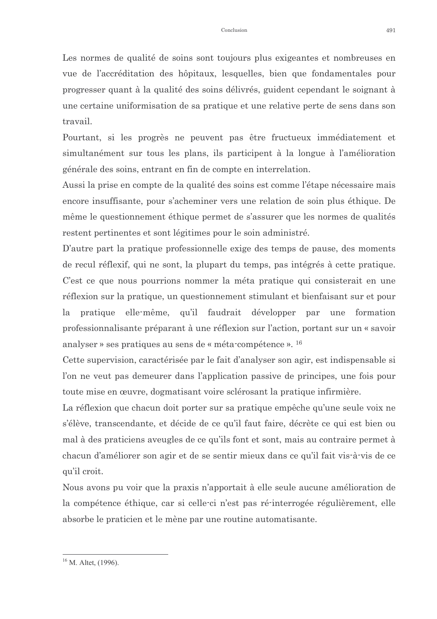Les normes de qualité de soins sont toujours plus exigeantes et nombreuses en vue de l'accréditation des hôpitaux, lesquelles, bien que fondamentales pour progresser quant à la qualité des soins délivrés, guident cependant le soignant à une certaine uniformisation de sa pratique et une relative perte de sens dans son travail.

Pourtant, si les progrès ne peuvent pas être fructueux immédiatement et simultanément sur tous les plans, ils participent à la longue à l'amélioration générale des soins, entrant en fin de compte en interrelation.

Aussi la prise en compte de la qualité des soins est comme l'étape nécessaire mais encore insuffisante, pour s'acheminer vers une relation de soin plus éthique. De même le questionnement éthique permet de s'assurer que les normes de qualités restent pertinentes et sont légitimes pour le soin administré.

D'autre part la pratique professionnelle exige des temps de pause, des moments de recul réflexif, qui ne sont, la plupart du temps, pas intégrés à cette pratique. C'est ce que nous pourrions nommer la méta pratique qui consisterait en une réflexion sur la pratique, un questionnement stimulant et bienfaisant sur et pour pratique elle-même, qu'il faudrait développer par une formation la professionnalisante préparant à une réflexion sur l'action, portant sur un « savoir analyser » ses pratiques au sens de « méta-compétence ». <sup>16</sup>

Cette supervision, caractérisée par le fait d'analyser son agir, est indispensable si l'on ne veut pas demeurer dans l'application passive de principes, une fois pour toute mise en œuvre, dogmatisant voire sclérosant la pratique infirmière.

La réflexion que chacun doit porter sur sa pratique empêche qu'une seule voix ne s'élève, transcendante, et décide de ce qu'il faut faire, décrète ce qui est bien ou mal à des praticiens aveugles de ce qu'ils font et sont, mais au contraire permet à chacun d'améliorer son agir et de se sentir mieux dans ce qu'il fait vis-à-vis de ce qu'il croit.

Nous avons pu voir que la praxis n'apportait à elle seule aucune amélioration de la compétence éthique, car si celle-ci n'est pas ré-interrogée régulièrement, elle absorbe le praticien et le mène par une routine automatisante.

 $16$  M. Altet, (1996).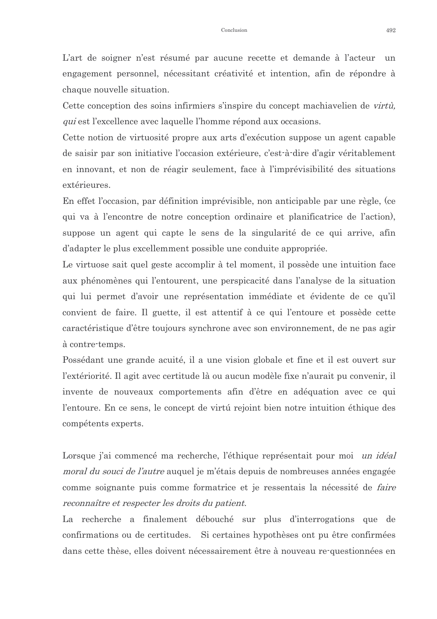L'art de soigner n'est résumé par aucune recette et demande à l'acteur un engagement personnel, nécessitant créativité et intention, afin de répondre à chaque nouvelle situation.

Cette conception des soins infirmiers s'inspire du concept machiavelien de virtù, *qui* est l'excellence avec laquelle l'homme répond aux occasions.

Cette notion de virtuosité propre aux arts d'exécution suppose un agent capable de saisir par son initiative l'occasion extérieure, c'est-à-dire d'agir véritablement en innovant, et non de réagir seulement, face à l'imprévisibilité des situations extérieures.

En effet l'occasion, par définition imprévisible, non anticipable par une règle, (ce qui va à l'encontre de notre conception ordinaire et planificatrice de l'action), suppose un agent qui capte le sens de la singularité de ce qui arrive, afin d'adapter le plus excellemment possible une conduite appropriée.

Le virtuose sait quel geste accomplir à tel moment, il possède une intuition face aux phénomènes qui l'entourent, une perspicacité dans l'analyse de la situation qui lui permet d'avoir une représentation immédiate et évidente de ce qu'il convient de faire. Il guette, il est attentif à ce qui l'entoure et possède cette caractéristique d'être toujours synchrone avec son environnement, de ne pas agir à contre-temps.

Possédant une grande acuité, il a une vision globale et fine et il est ouvert sur l'extériorité. Il agit avec certitude là ou aucun modèle fixe n'aurait pu convenir, il invente de nouveaux comportements afin d'être en adéquation avec ce qui l'entoure. En ce sens, le concept de virtu rejoint bien notre intuition éthique des compétents experts.

Lorsque j'ai commencé ma recherche, l'éthique représentait pour moi un idéal *moral du souci de l'autre* auquel je m'étais depuis de nombreuses années engagée comme soignante puis comme formatrice et je ressentais la nécessité de *faire* reconnaître et respecter les droits du patient.

La recherche a finalement débouché sur plus d'interrogations que de confirmations ou de certitudes. Si certaines hypothèses ont pu être confirmées dans cette thèse, elles doivent nécessairement être à nouveau re-questionnées en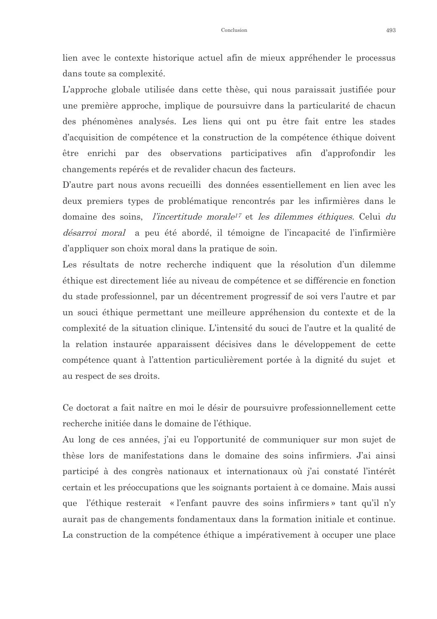lien avec le contexte historique actuel afin de mieux appréhender le processus dans toute sa complexité.

L'approche globale utilisée dans cette thèse, qui nous paraissait justifiée pour une première approche, implique de poursuivre dans la particularité de chacun des phénomènes analysés. Les liens qui ont pu être fait entre les stades d'acquisition de compétence et la construction de la compétence éthique doivent être enrichi par des observations participatives afin d'approfondir les changements repérés et de revalider chacun des facteurs.

D'autre part nous avons recueilli des données essentiellement en lien avec les deux premiers types de problématique rencontrés par les infirmières dans le domaine des soins, l'incertitude morale<sup>17</sup> et les dilemmes éthiques. Celui du *désarroi moral* a peu été abordé, il témoigne de l'incapacité de l'infirmière d'appliquer son choix moral dans la pratique de soin.

Les résultats de notre recherche indiquent que la résolution d'un dilemme éthique est directement liée au niveau de compétence et se différencie en fonction du stade professionnel, par un décentrement progressif de soi vers l'autre et par un souci éthique permettant une meilleure appréhension du contexte et de la complexité de la situation clinique. L'intensité du souci de l'autre et la qualité de la relation instaurée apparaissent décisives dans le développement de cette compétence quant à l'attention particulièrement portée à la dignité du sujet et au respect de ses droits.

Ce doctorat a fait naître en moi le désir de poursuivre professionnellement cette recherche initiée dans le domaine de l'éthique.

Au long de ces années, j'ai eu l'opportunité de communiquer sur mon sujet de thèse lors de manifestations dans le domaine des soins infirmiers. J'ai ainsi participé à des congrès nationaux et internationaux où j'ai constaté l'intérêt certain et les préoccupations que les soignants portaient à ce domaine. Mais aussi que l'éthique resterait « l'enfant pauvre des soins infirmiers » tant qu'il n'y aurait pas de changements fondamentaux dans la formation initiale et continue. La construction de la compétence éthique a impérativement à occuper une place